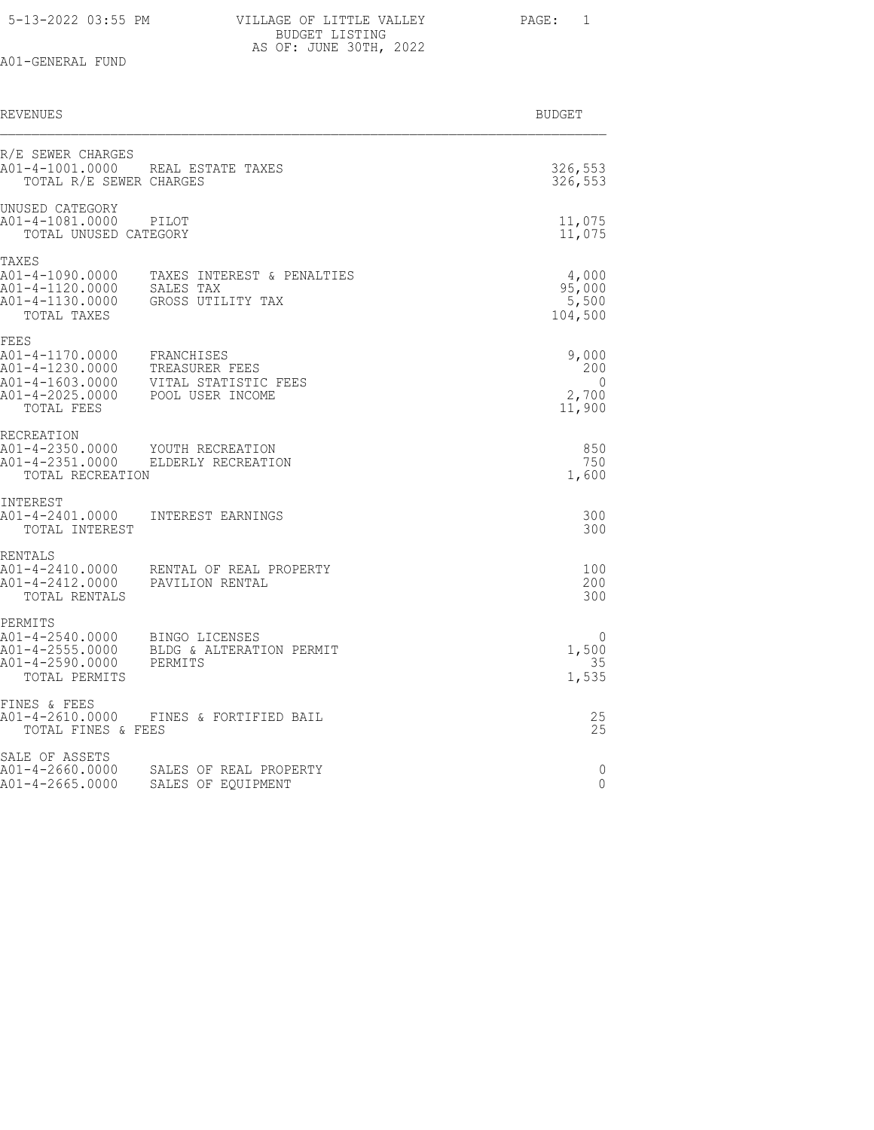| 5-13-2022 03:55 PM |  |  |
|--------------------|--|--|
|--------------------|--|--|

| 5-13-2022 03:55 PM | VILLAGE OF LITTLE VALLEY | PAGE: 1 |  |
|--------------------|--------------------------|---------|--|
|                    | BUDGET LISTING           |         |  |
|                    | AS OF: JUNE 30TH, 2022   |         |  |

| REVENUES                                                                                       |                                                                          | BUDGET                                      |
|------------------------------------------------------------------------------------------------|--------------------------------------------------------------------------|---------------------------------------------|
| R/E SEWER CHARGES<br>A01-4-1001.0000<br>TOTAL R/E SEWER CHARGES                                | REAL ESTATE TAXES                                                        | 326,553<br>326,553                          |
| UNUSED CATEGORY<br>A01-4-1081.0000<br>TOTAL UNUSED CATEGORY                                    | PILOT                                                                    | 11,075<br>11,075                            |
| TAXES<br>A01-4-1090.0000<br>A01-4-1120.0000<br>A01-4-1130.0000<br>TOTAL TAXES                  | TAXES INTEREST & PENALTIES<br>SALES TAX<br>GROSS UTILITY TAX             | 4,000<br>95,000<br>5,500<br>104,500         |
| FEES<br>A01-4-1170.0000<br>A01-4-1230.0000<br>A01-4-1603.0000<br>A01-4-2025.0000<br>TOTAL FEES | FRANCHISES<br>TREASURER FEES<br>VITAL STATISTIC FEES<br>POOL USER INCOME | 9,000<br>200<br>$\Omega$<br>2,700<br>11,900 |
| RECREATION<br>A01-4-2350.0000<br>A01-4-2351.0000<br>TOTAL RECREATION                           | YOUTH RECREATION<br>ELDERLY RECREATION                                   | 850<br>750<br>1,600                         |
| INTEREST<br>A01-4-2401.0000<br>TOTAL INTEREST                                                  | INTEREST EARNINGS                                                        | 300<br>300                                  |
| RENTALS<br>A01-4-2410.0000<br>A01-4-2412.0000<br>TOTAL RENTALS                                 | RENTAL OF REAL PROPERTY<br>PAVILION RENTAL                               | 100<br>200<br>300                           |
| PERMITS<br>A01-4-2540.0000<br>A01-4-2555.0000<br>A01-4-2590.0000<br>TOTAL PERMITS              | BINGO LICENSES<br>BLDG & ALTERATION PERMIT<br>PERMITS                    | 0<br>1,500<br>35<br>1,535                   |
| FINES & FEES<br>A01-4-2610.0000<br>TOTAL FINES & FEES                                          | FINES & FORTIFIED BAIL                                                   | 25<br>25                                    |
| SALE OF ASSETS<br>A01-4-2660.0000<br>A01-4-2665.0000                                           | SALES OF REAL PROPERTY<br>SALES OF EOUIPMENT                             | 0<br>$\Omega$                               |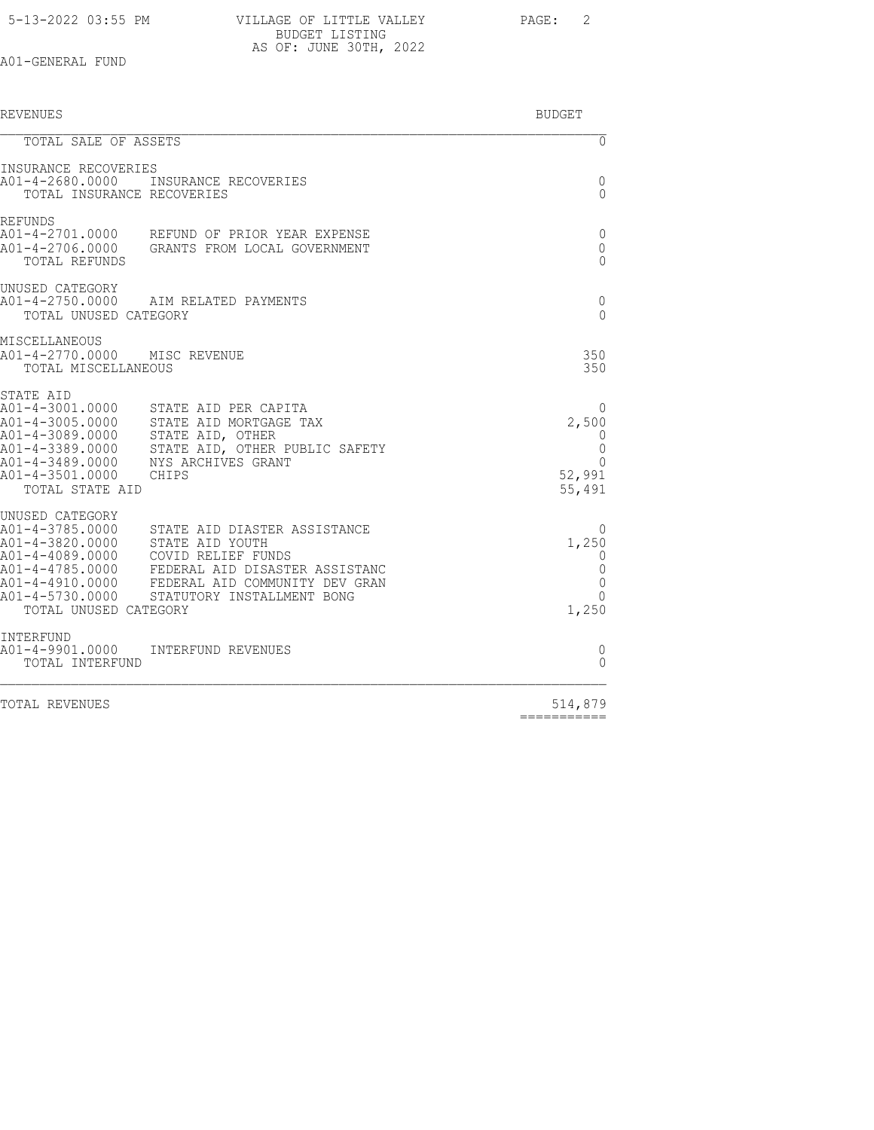| 5-13-2022 03:55 PM | VILLAGE OF LITTLE VALLEY | PAGE: 2 |  |
|--------------------|--------------------------|---------|--|
|                    | BUDGET LISTING           |         |  |
|                    | AS OF: JUNE 30TH, 2022   |         |  |

| <b>REVENUES</b>                                                                                                                                |                                                                                                                                                                                         | <b>BUDGET</b>                                                 |
|------------------------------------------------------------------------------------------------------------------------------------------------|-----------------------------------------------------------------------------------------------------------------------------------------------------------------------------------------|---------------------------------------------------------------|
| TOTAL SALE OF ASSETS                                                                                                                           |                                                                                                                                                                                         | $\overline{0}$                                                |
| INSURANCE RECOVERIES<br>TOTAL INSURANCE RECOVERIES                                                                                             | A01-4-2680.0000 INSURANCE RECOVERIES                                                                                                                                                    | 0<br>$\Omega$                                                 |
| <b>REFUNDS</b><br>TOTAL REFUNDS                                                                                                                | A01-4-2701.0000 REFUND OF PRIOR YEAR EXPENSE<br>A01-4-2706.0000 GRANTS FROM LOCAL GOVERNMENT                                                                                            | 0<br>0<br>$\Omega$                                            |
| UNUSED CATEGORY<br>TOTAL UNUSED CATEGORY                                                                                                       | A01-4-2750.0000 AIM RELATED PAYMENTS                                                                                                                                                    | 0<br>$\Omega$                                                 |
| MISCELLANEOUS<br>A01-4-2770.0000 MISC REVENUE<br>TOTAL MISCELLANEOUS                                                                           |                                                                                                                                                                                         | 350<br>350                                                    |
| STATE AID<br>A01-4-3001.0000<br>A01-4-3005.0000<br>A01-4-3089.0000<br>A01-4-3389.0000<br>A01-4-3489.0000<br>A01-4-3501.0000<br>TOTAL STATE AID | STATE AID PER CAPITA<br>STATE AID MORTGAGE TAX<br>STATE AID, OTHER<br>STATE AID, OTHER PUBLIC SAFETY<br>NYS ARCHIVES GRANT<br>CHIPS                                                     | 0<br>2,500<br>0<br>0<br>$\Omega$<br>52,991<br>55,491          |
| UNUSED CATEGORY<br>A01-4-3785.0000<br>A01-4-3820.0000<br>A01-4-4089.0000<br>A01-4-4785.0000<br>A01-4-4910.0000<br>TOTAL UNUSED CATEGORY        | STATE AID DIASTER ASSISTANCE<br>STATE AID YOUTH<br>COVID RELIEF FUNDS<br>FEDERAL AID DISASTER ASSISTANC<br>FEDERAL AID COMMUNITY DEV GRAN<br>A01-4-5730.0000 STATUTORY INSTALLMENT BONG | $\left( \right)$<br>1,250<br>0<br>0<br>0<br>$\Omega$<br>1,250 |
| INTERFUND<br>A01-4-9901.0000<br>TOTAL INTERFUND                                                                                                | INTERFUND REVENUES                                                                                                                                                                      | 0<br>$\bigcap$                                                |
|                                                                                                                                                |                                                                                                                                                                                         |                                                               |

TOTAL REVENUES

 $514,879$ <br>=============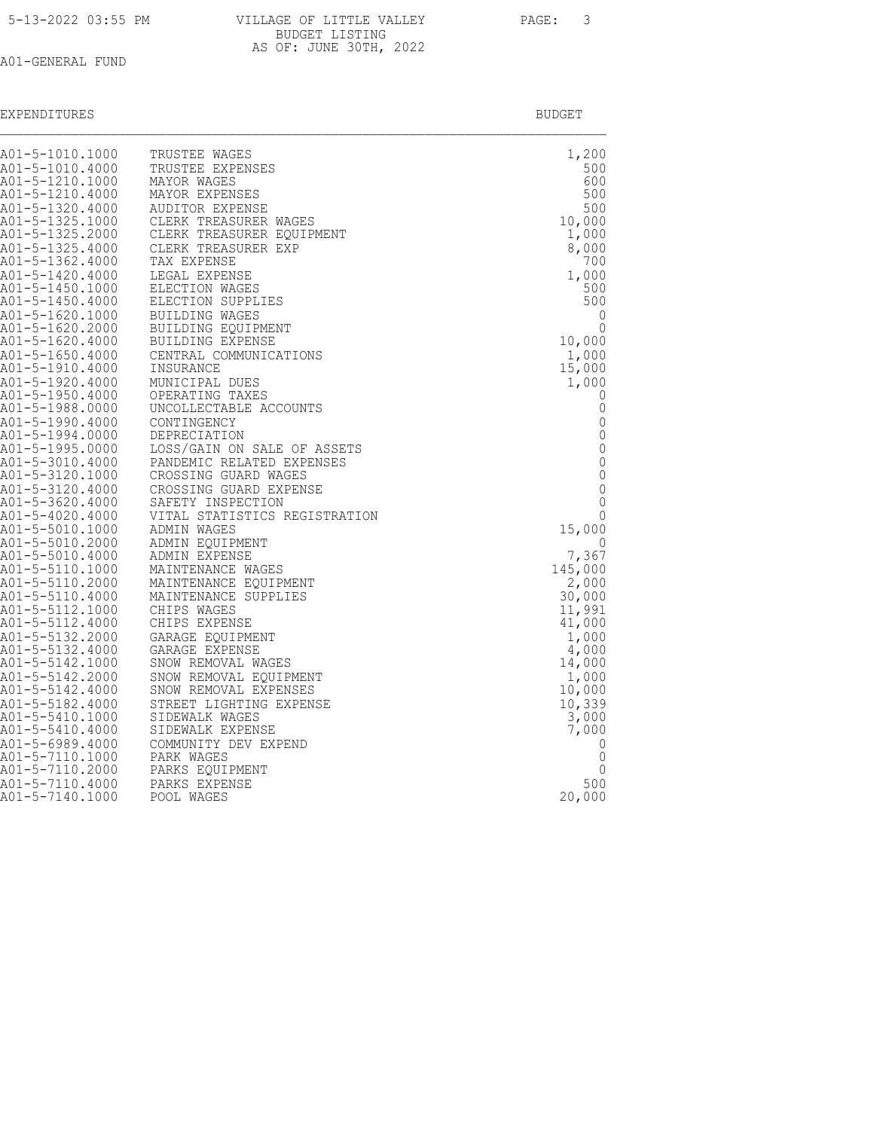| A01-5-1010.1000                    | TRUSTEE WAGES                                | 1,200         |
|------------------------------------|----------------------------------------------|---------------|
| A01-5-1010.4000                    | TRUSTEE EXPENSES                             | 500           |
| A01-5-1210.1000                    | MAYOR WAGES                                  | 600           |
| A01-5-1210.4000                    | MAYOR EXPENSES                               | 500           |
| A01-5-1320.4000                    | AUDITOR EXPENSE                              | 500           |
| A01-5-1325.1000                    | CLERK TREASURER WAGES                        | 10,000        |
| A01-5-1325.2000                    | CLERK TREASURER EQUIPMENT                    | 1,000         |
| A01-5-1325.4000                    | CLERK TREASURER EXP                          | 8,000         |
| A01-5-1362.4000                    | TAX EXPENSE                                  | 700           |
| A01-5-1420.4000                    | LEGAL EXPENSE                                | 1,000         |
| A01-5-1450.1000                    | ELECTION WAGES                               | 500           |
| A01-5-1450.4000                    | ELECTION SUPPLIES                            | 500           |
| A01-5-1620.1000                    | <b>BUILDING WAGES</b>                        | 0             |
| A01-5-1620.2000                    | BUILDING EQUIPMENT                           | 0             |
| A01-5-1620.4000                    | BUILDING EXPENSE                             | 10,000        |
| A01-5-1650.4000                    | CENTRAL COMMUNICATIONS                       | 1,000         |
| A01-5-1910.4000                    | INSURANCE                                    | 15,000        |
| A01-5-1920.4000                    | MUNICIPAL DUES                               | 1,000         |
| A01-5-1950.4000                    | OPERATING TAXES                              | 0             |
| A01-5-1988.0000                    | UNCOLLECTABLE ACCOUNTS                       | $\mathbf 0$   |
| A01-5-1990.4000                    | CONTINGENCY                                  | $\mathbf 0$   |
| A01-5-1994.0000                    | DEPRECIATION                                 | $\mathbf{0}$  |
| A01-5-1995.0000                    | LOSS/GAIN ON SALE OF ASSETS                  | $\mathbb O$   |
| A01-5-3010.4000                    | PANDEMIC RELATED EXPENSES                    | $\mathbf{0}$  |
| A01-5-3120.1000                    | CROSSING GUARD WAGES                         | 0             |
| A01-5-3120.4000                    | CROSSING GUARD EXPENSE                       | $\mathbf 0$   |
| A01-5-3620.4000                    | SAFETY INSPECTION                            | 0<br>$\Omega$ |
| A01-5-4020.4000<br>A01-5-5010.1000 | VITAL STATISTICS REGISTRATION<br>ADMIN WAGES | 15,000        |
| A01-5-5010.2000                    | ADMIN EOUIPMENT                              | $\Omega$      |
| A01-5-5010.4000                    | ADMIN EXPENSE                                | 7,367         |
| A01-5-5110.1000                    | MAINTENANCE WAGES                            | 145,000       |
| A01-5-5110.2000                    | MAINTENANCE EQUIPMENT                        | 2,000         |
| A01-5-5110.4000                    | MAINTENANCE SUPPLIES                         | 30,000        |
| A01-5-5112.1000                    | CHIPS WAGES                                  | 11,991        |
| A01-5-5112.4000                    | CHIPS EXPENSE                                | 41,000        |
| A01-5-5132.2000                    | GARAGE EQUIPMENT                             | 1,000         |
| A01-5-5132.4000                    | GARAGE EXPENSE                               | 4,000         |
| A01-5-5142.1000                    | SNOW REMOVAL WAGES                           | 14,000        |
| A01-5-5142.2000                    | SNOW REMOVAL EQUIPMENT                       | 1,000         |
| A01-5-5142.4000                    | SNOW REMOVAL EXPENSES                        | 10,000        |
| A01-5-5182.4000                    | STREET LIGHTING EXPENSE                      | 10,339        |
| A01-5-5410.1000                    | SIDEWALK WAGES                               | 3,000         |
| A01-5-5410.4000                    | SIDEWALK EXPENSE                             | 7,000         |
| A01-5-6989.4000                    | COMMUNITY DEV EXPEND                         | 0             |
| A01-5-7110.1000                    | PARK WAGES                                   | 0             |
| A01-5-7110.2000                    | PARKS EQUIPMENT                              | 0             |
| A01-5-7110.4000                    | PARKS EXPENSE                                | 500           |
| A01-5-7140.1000                    | POOL WAGES                                   | 20,000        |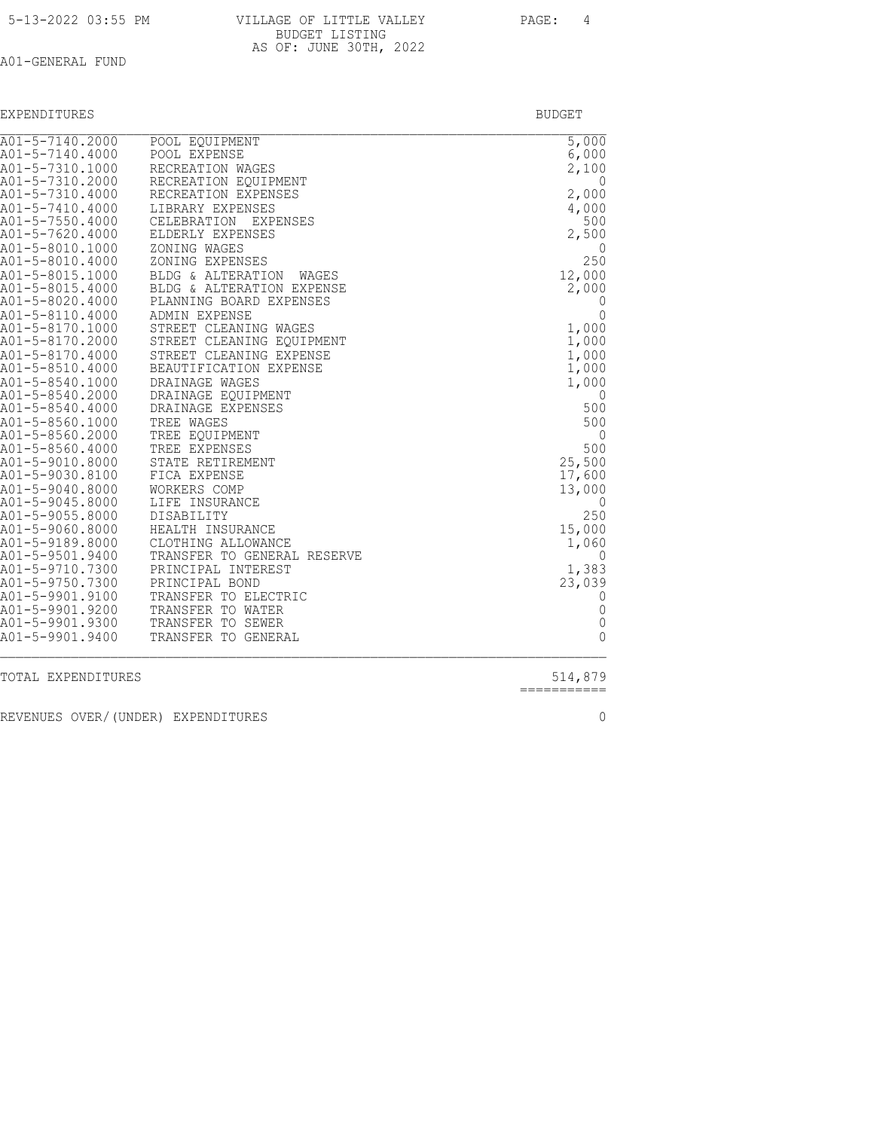| 5-13-2022 03:55 PM |  |  |
|--------------------|--|--|
|--------------------|--|--|

| 5-13-2022 03:55 PM | VILLAGE OF LITTLE VALLEY | PAGE:<br>4 |
|--------------------|--------------------------|------------|
|                    | BUDGET LISTING           |            |
|                    | AS OF: JUNE 30TH, 2022   |            |

| EXPENDITURES | - 51 L         |
|--------------|----------------|
|              | . <del>.</del> |
|              |                |

| A01-5-7140.2000                    | POOL EQUIPMENT                                       | $\overline{5,000}$      |
|------------------------------------|------------------------------------------------------|-------------------------|
| A01-5-7140.4000                    | POOL EXPENSE                                         | 6,000                   |
| A01-5-7310.1000                    | RECREATION WAGES                                     | 2,100                   |
| A01-5-7310.2000                    | RECREATION EQUIPMENT                                 | 0                       |
| A01-5-7310.4000                    | RECREATION EXPENSES                                  | 2,000                   |
| A01-5-7410.4000                    | LIBRARY EXPENSES                                     | 4,000                   |
| A01-5-7550.4000                    | CELEBRATION EXPENSES                                 | 500                     |
| A01-5-7620.4000                    | ELDERLY EXPENSES                                     | 2,500                   |
| A01-5-8010.1000<br>A01-5-8010.4000 | ZONING WAGES<br>ZONING EXPENSES                      | $\left( \right)$<br>250 |
| A01-5-8015.1000                    |                                                      | 12,000                  |
| A01-5-8015.4000                    | BLDG & ALTERATION WAGES<br>BLDG & ALTERATION EXPENSE | 2,000                   |
| A01-5-8020.4000                    | PLANNING BOARD EXPENSES                              | O                       |
| A01-5-8110.4000                    | <b>ADMIN EXPENSE</b>                                 | 0                       |
| A01-5-8170.1000                    | STREET CLEANING WAGES                                | 1,000                   |
| A01-5-8170.2000                    | STREET CLEANING EQUIPMENT                            | 1,000                   |
| A01-5-8170.4000                    | STREET CLEANING EXPENSE                              | 1,000                   |
| A01-5-8510.4000                    | BEAUTIFICATION EXPENSE                               | 1,000                   |
| A01-5-8540.1000                    | DRAINAGE WAGES                                       | 1,000                   |
| A01-5-8540.2000                    | DRAINAGE EOUIPMENT                                   | 0                       |
| A01-5-8540.4000                    | DRAINAGE EXPENSES                                    | 500                     |
| A01-5-8560.1000                    | TREE WAGES                                           | 500                     |
| A01-5-8560.2000                    | TREE EQUIPMENT                                       | 0                       |
| A01-5-8560.4000                    | TREE EXPENSES                                        | 500                     |
| A01-5-9010.8000                    | STATE RETIREMENT                                     | 25,500                  |
| A01-5-9030.8100                    | FICA EXPENSE                                         | 17,600                  |
| A01-5-9040.8000                    | WORKERS COMP                                         | 13,000                  |
| A01-5-9045.8000                    | LIFE INSURANCE                                       | $\left( \right)$        |
| A01-5-9055.8000                    | DISABILITY                                           | 250                     |
| A01-5-9060.8000<br>A01-5-9189.8000 | HEALTH INSURANCE<br>CLOTHING ALLOWANCE               | 15,000<br>1,060         |
| A01-5-9501.9400                    | TRANSFER TO GENERAL RESERVE                          | O                       |
| A01-5-9710.7300                    | PRINCIPAL INTEREST                                   | 1,383                   |
| A01-5-9750.7300                    | PRINCIPAL BOND                                       | 23,039                  |
| A01-5-9901.9100                    | TRANSFER TO ELECTRIC                                 | 0                       |
| A01-5-9901.9200                    | TRANSFER TO WATER                                    | $\mathbf{0}$            |
| A01-5-9901.9300                    | TRANSFER TO SEWER                                    | $\mathbf{0}$            |
| A01-5-9901.9400                    | TRANSFER TO GENERAL                                  | $\Omega$                |
|                                    |                                                      |                         |

TOTAL EXPENDITURES

 $514,879$ <br>============

REVENUES OVER/(UNDER) EXPENDITURES 0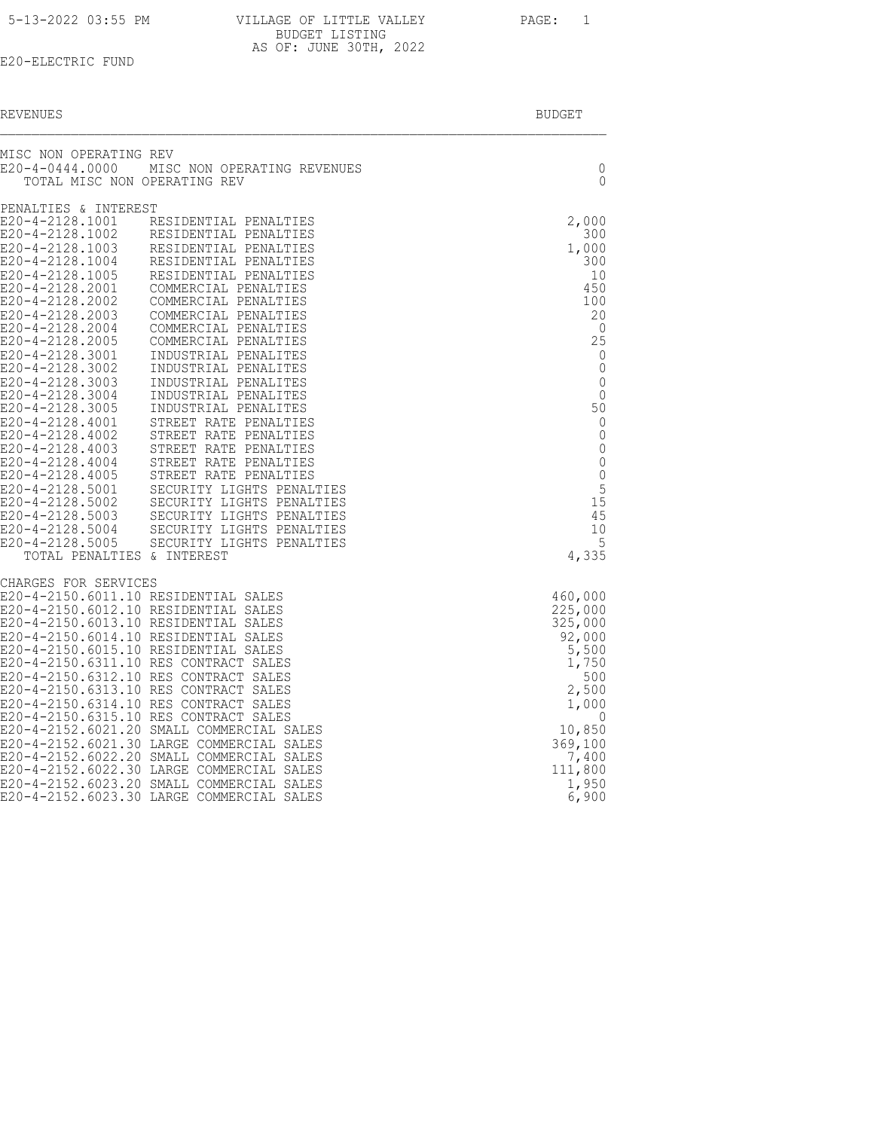| 5-13-2022 03:55 PM | VILLAGE OF LITTLE VALLEY | PAGE: |
|--------------------|--------------------------|-------|
|                    | BUDGET LISTING           |       |
|                    | AS OF: JUNE 30TH, 2022   |       |

|  | REVENUES | <b>BUDGET</b> |
|--|----------|---------------|
|--|----------|---------------|

| MISC NON OPERATING REV<br>E20-4-0444.0000 | MISC NON OPERATING REVENUES                                                            | 0                          |
|-------------------------------------------|----------------------------------------------------------------------------------------|----------------------------|
| TOTAL MISC NON OPERATING REV              |                                                                                        | $\Omega$                   |
| PENALTIES & INTEREST<br>E20-4-2128.1001   | RESIDENTIAL PENALTIES                                                                  | 2,000                      |
| E20-4-2128.1002                           | RESIDENTIAL PENALTIES                                                                  | 300                        |
| E20-4-2128.1003                           | RESIDENTIAL PENALTIES                                                                  | 1,000                      |
| E20-4-2128.1004<br>E20-4-2128.1005        | RESIDENTIAL PENALTIES<br>RESIDENTIAL PENALTIES                                         | 300<br>10                  |
| E20-4-2128.2001                           | COMMERCIAL PENALTIES                                                                   | 450                        |
| E20-4-2128.2002                           | COMMERCIAL PENALTIES                                                                   | 100                        |
| E20-4-2128.2003                           | COMMERCIAL PENALTIES                                                                   | 20                         |
| E20-4-2128.2004<br>E20-4-2128.2005        | COMMERCIAL PENALTIES<br>COMMERCIAL PENALTIES                                           | 0<br>25                    |
| E20-4-2128.3001                           | INDUSTRIAL PENALITES                                                                   | 0                          |
| E20-4-2128.3002                           | INDUSTRIAL PENALITES                                                                   | 0                          |
| E20-4-2128.3003<br>E20-4-2128.3004        | INDUSTRIAL PENALITES<br>INDUSTRIAL PENALITES                                           | $\mathbf 0$<br>$\mathbf 0$ |
| E20-4-2128.3005                           | INDUSTRIAL PENALITES                                                                   | 50                         |
| $E20 - 4 - 2128.4001$                     | STREET RATE PENALTIES                                                                  | $\mathbf 0$                |
| E20-4-2128.4002                           | STREET RATE PENALTIES                                                                  | $\mathbf 0$                |
| E20-4-2128.4003<br>E20-4-2128.4004        | STREET RATE PENALTIES<br>STREET RATE PENALTIES                                         | $\mathbf 0$<br>$\mathbf 0$ |
| E20-4-2128.4005                           | STREET RATE PENALTIES                                                                  | 0                          |
| E20-4-2128.5001                           | SECURITY LIGHTS PENALTIES                                                              | 5                          |
| E20-4-2128.5002<br>E20-4-2128.5003        | SECURITY LIGHTS PENALTIES                                                              | 15<br>45                   |
| $E20 - 4 - 2128.5004$                     | SECURITY LIGHTS PENALTIES<br>SECURITY LIGHTS PENALTIES                                 | 10                         |
| $E20 - 4 - 2128.5005$                     | SECURITY LIGHTS PENALTIES                                                              | 5                          |
| TOTAL PENALTIES & INTEREST                |                                                                                        | 4,335                      |
| CHARGES FOR SERVICES                      |                                                                                        |                            |
|                                           | E20-4-2150.6011.10 RESIDENTIAL SALES                                                   | 460,000                    |
|                                           | E20-4-2150.6012.10 RESIDENTIAL SALES<br>E20-4-2150.6013.10 RESIDENTIAL SALES           | 225,000<br>325,000         |
|                                           | E20-4-2150.6014.10 RESIDENTIAL SALES                                                   | 92,000                     |
|                                           | E20-4-2150.6015.10 RESIDENTIAL SALES                                                   | 5,500                      |
|                                           | E20-4-2150.6311.10 RES CONTRACT SALES<br>E20-4-2150.6312.10 RES CONTRACT SALES         | 1,750<br>500               |
|                                           | E20-4-2150.6313.10 RES CONTRACT SALES                                                  | 2,500                      |
|                                           | E20-4-2150.6314.10 RES CONTRACT SALES                                                  | 1,000                      |
|                                           | E20-4-2150.6315.10 RES CONTRACT SALES<br>E20-4-2152.6021.20 SMALL COMMERCIAL SALES     | - 0<br>10,850              |
|                                           | E20-4-2152.6021.30 LARGE COMMERCIAL SALES                                              | 369,100                    |
|                                           | E20-4-2152.6022.20 SMALL COMMERCIAL SALES                                              | 7,400                      |
|                                           | E20-4-2152.6022.30 LARGE COMMERCIAL SALES                                              | 111,800                    |
|                                           | E20-4-2152.6023.20 SMALL COMMERCIAL SALES<br>E20-4-2152.6023.30 LARGE COMMERCIAL SALES | 1,950<br>6,900             |
|                                           |                                                                                        |                            |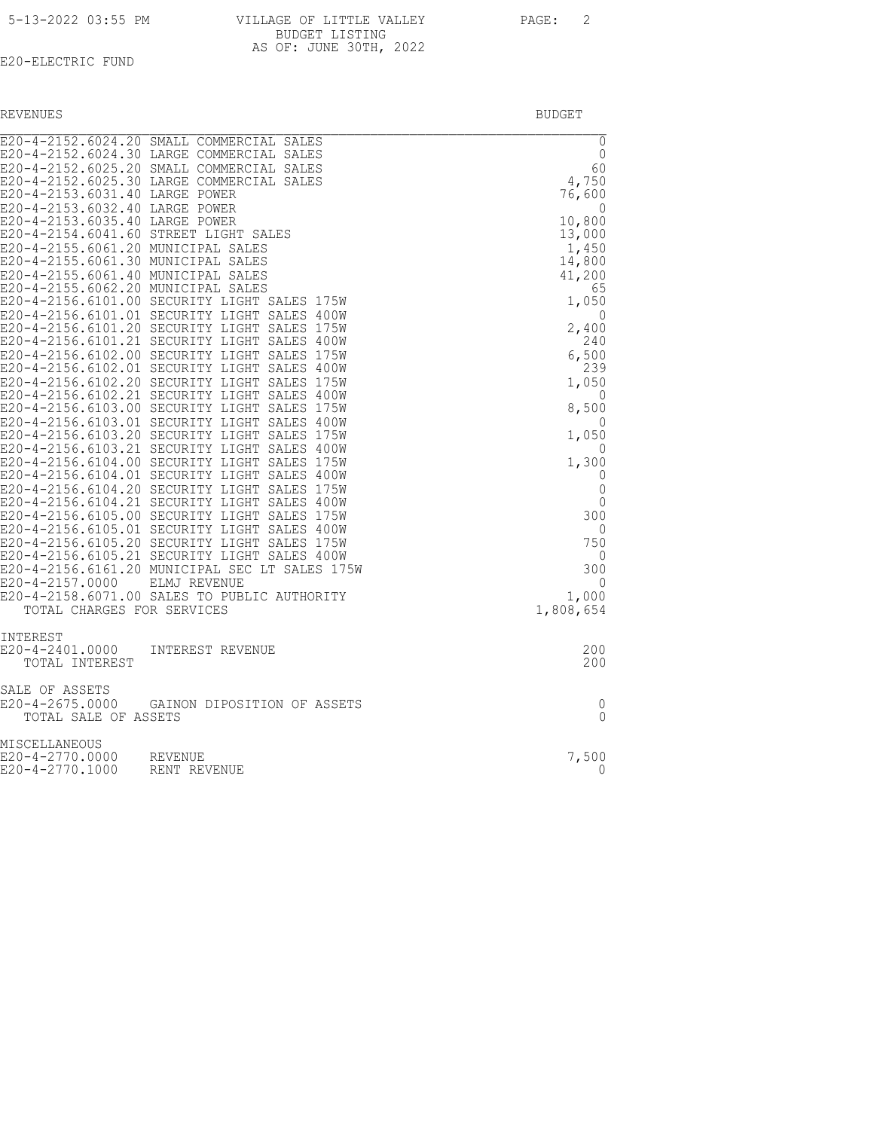REVENUES BUDGET

| E20-4-2153.6031.40 LARGE POWER<br>E20-4-2153.6032.40 LARGE POWER<br>E20-4-2153.6035.40 LARGE POWER<br>E20-4-2155.6061.20 MUNICIPAL SALES<br>E20-4-2155.6061.30 MUNICIPAL SALES<br>E20-4-2155.6061.40 MUNICIPAL SALES<br>E20-4-2155.6062.20 MUNICIPAL SALES<br>E20-4-2156.6101.01 SECURITY LIGHT<br>E20-4-2157.0000<br>TOTAL CHARGES FOR SERVICES | E20-4-2152.6024.20 SMALL COMMERCIAL SALES<br>E20-4-2152.6024.30 LARGE COMMERCIAL SALES<br>E20-4-2152.6025.20 SMALL COMMERCIAL SALES<br>E20-4-2152.6025.30 LARGE COMMERCIAL SALES<br>E20-4-2154.6041.60 STREET LIGHT SALES<br>E20-4-2156.6101.00 SECURITY LIGHT SALES 175W<br>SALES 400W<br>E20-4-2156.6101.20 SECURITY LIGHT SALES 175W<br>E20-4-2156.6101.21 SECURITY LIGHT SALES 400W<br>E20-4-2156.6102.00 SECURITY LIGHT SALES 175W<br>E20-4-2156.6102.01 SECURITY LIGHT SALES 400W<br>E20-4-2156.6102.20 SECURITY LIGHT SALES 175W<br>E20-4-2156.6102.21 SECURITY LIGHT SALES 400W<br>E20-4-2156.6103.00 SECURITY LIGHT SALES 175W<br>E20-4-2156.6103.01 SECURITY LIGHT SALES 400W<br>E20-4-2156.6103.20 SECURITY LIGHT SALES 175W<br>E20-4-2156.6103.21 SECURITY LIGHT SALES 400W<br>E20-4-2156.6104.00 SECURITY LIGHT SALES 175W<br>E20-4-2156.6104.01 SECURITY LIGHT SALES 400W<br>E20-4-2156.6104.20 SECURITY LIGHT SALES 175W<br>E20-4-2156.6104.21 SECURITY LIGHT SALES 400W<br>E20-4-2156.6105.00 SECURITY LIGHT SALES 175W<br>E20-4-2156.6105.01 SECURITY LIGHT SALES 400W<br>E20-4-2156.6105.20 SECURITY LIGHT SALES 175W<br>E20-4-2156.6105.21 SECURITY LIGHT SALES 400W<br>E20-4-2156.6161.20 MUNICIPAL SEC LT SALES 175W<br>ELMJ REVENUE<br>E20-4-2158.6071.00 SALES TO PUBLIC AUTHORITY | $\overline{0}$<br>$\mathbf 0$<br>60<br>4,750<br>76,600<br>0<br>10,800<br>13,000<br>1,450<br>14,800<br>41,200<br>65<br>1,050<br>0<br>2,400<br>240<br>6,500<br>239<br>1,050<br>$\Omega$<br>8,500<br>$\Omega$<br>1,050<br>$\Omega$<br>1,300<br>0<br>0<br>$\Omega$<br>300<br>$\Omega$<br>750<br>0<br>300<br>$\Omega$<br>1,000<br>1,808,654 |
|--------------------------------------------------------------------------------------------------------------------------------------------------------------------------------------------------------------------------------------------------------------------------------------------------------------------------------------------------|-----------------------------------------------------------------------------------------------------------------------------------------------------------------------------------------------------------------------------------------------------------------------------------------------------------------------------------------------------------------------------------------------------------------------------------------------------------------------------------------------------------------------------------------------------------------------------------------------------------------------------------------------------------------------------------------------------------------------------------------------------------------------------------------------------------------------------------------------------------------------------------------------------------------------------------------------------------------------------------------------------------------------------------------------------------------------------------------------------------------------------------------------------------------------------------------------------------------------------------------------------------------------------------------------------------|----------------------------------------------------------------------------------------------------------------------------------------------------------------------------------------------------------------------------------------------------------------------------------------------------------------------------------------|
| INTEREST<br>E20-4-2401.0000<br>TOTAL INTEREST                                                                                                                                                                                                                                                                                                    | INTEREST REVENUE                                                                                                                                                                                                                                                                                                                                                                                                                                                                                                                                                                                                                                                                                                                                                                                                                                                                                                                                                                                                                                                                                                                                                                                                                                                                                          | 200<br>200                                                                                                                                                                                                                                                                                                                             |
| SALE OF ASSETS<br>TOTAL SALE OF ASSETS                                                                                                                                                                                                                                                                                                           | E20-4-2675.0000 GAINON DIPOSITION OF ASSETS                                                                                                                                                                                                                                                                                                                                                                                                                                                                                                                                                                                                                                                                                                                                                                                                                                                                                                                                                                                                                                                                                                                                                                                                                                                               | 0<br>$\Omega$                                                                                                                                                                                                                                                                                                                          |
| MISCELLANEOUS<br>E20-4-2770.0000<br>E20-4-2770.1000                                                                                                                                                                                                                                                                                              | REVENUE<br>RENT REVENUE                                                                                                                                                                                                                                                                                                                                                                                                                                                                                                                                                                                                                                                                                                                                                                                                                                                                                                                                                                                                                                                                                                                                                                                                                                                                                   | 7,500<br>$\Omega$                                                                                                                                                                                                                                                                                                                      |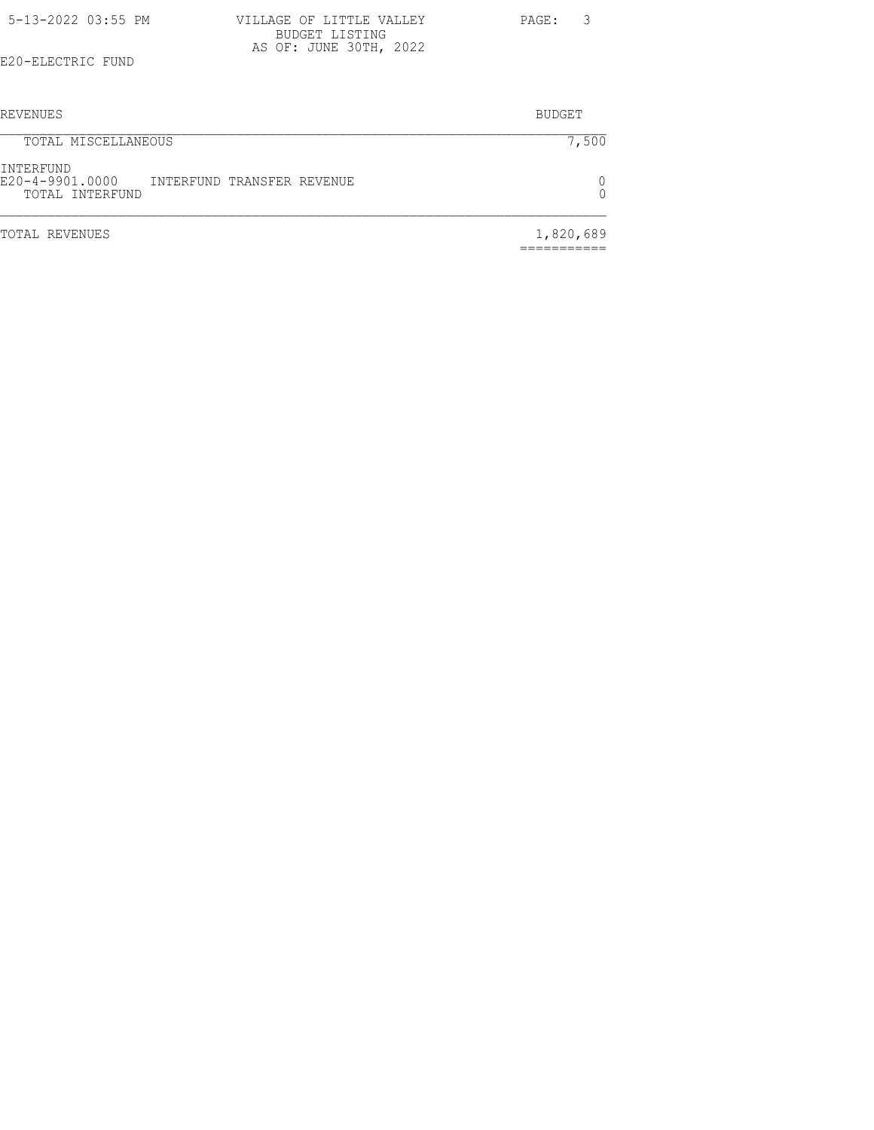| 5-13-2022 03:55 PM |  | VILLAGE OF LITTLE VALLEY                 |  | PAGE: | $\overline{\mathbf{3}}$ |
|--------------------|--|------------------------------------------|--|-------|-------------------------|
|                    |  | BUDGET LISTING<br>AS OF: JUNE 30TH, 2022 |  |       |                         |
| E20-ELECTRIC FUND  |  |                                          |  |       |                         |

| REVENUES                                                                      | <b>BUDGET</b> |
|-------------------------------------------------------------------------------|---------------|
| TOTAL MISCELLANEOUS                                                           | 7,500         |
| INTERFUND<br>E20-4-9901.0000<br>INTERFUND TRANSFER REVENUE<br>TOTAL INTERFUND |               |
| TOTAL REVENUES                                                                | 1,820,689     |

===========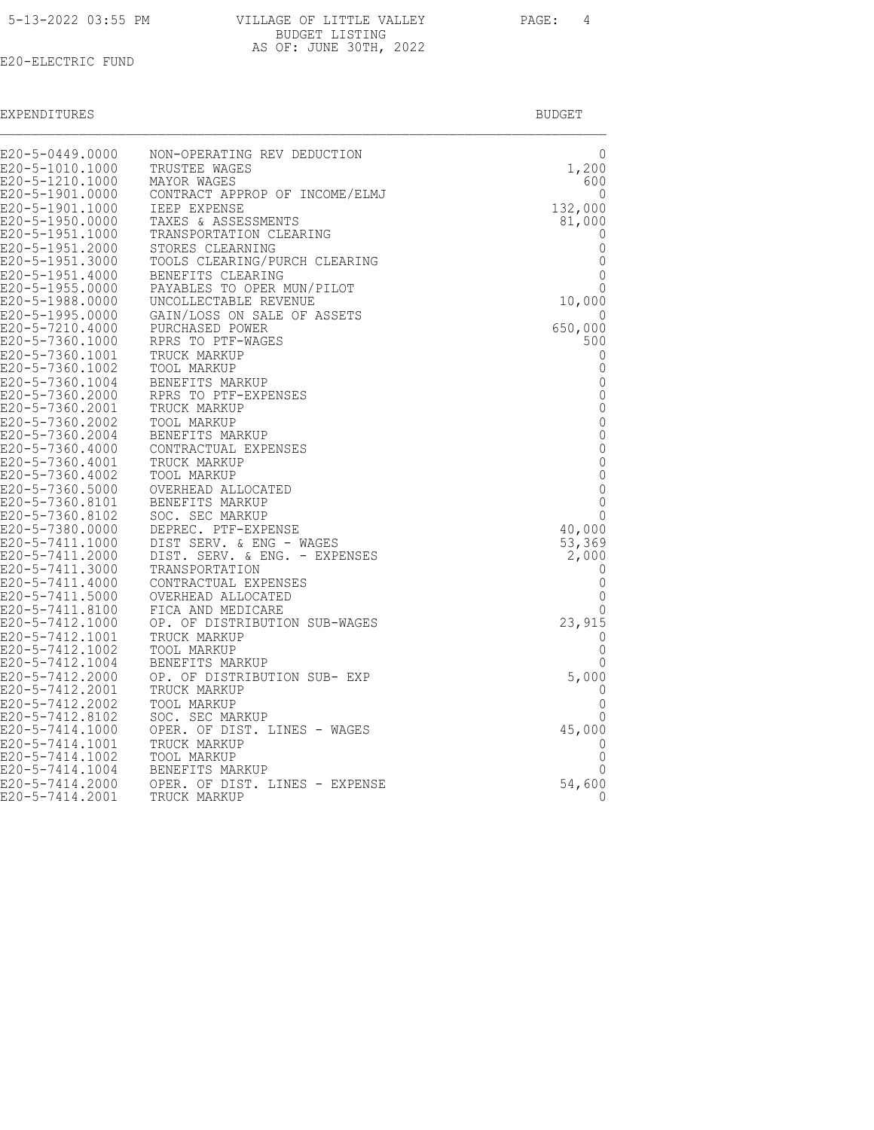|  |  |  |  | 5-13-2022 03:55 PM |  |
|--|--|--|--|--------------------|--|
|--|--|--|--|--------------------|--|

| 5-13-2022 03:55 PM | VILLAGE OF LITTLE VALLEY | PAGE: 4 |  |
|--------------------|--------------------------|---------|--|
|                    | BUDGET LISTING           |         |  |
|                    | AS OF: JUNE 30TH, 2022   |         |  |

| EXPENDITURES |        |
|--------------|--------|
|              | RUDGE. |

| E20-5-0449.0000                    | NON-OPERATING REV DEDUCTION                         | 0                           |
|------------------------------------|-----------------------------------------------------|-----------------------------|
| E20-5-1010.1000                    | TRUSTEE WAGES                                       | 1,200                       |
| E20-5-1210.1000                    | MAYOR WAGES                                         | 600                         |
| E20-5-1901.0000                    | CONTRACT APPROP OF INCOME/ELMJ                      | 0                           |
| E20-5-1901.1000                    | <b>IEEP EXPENSE</b>                                 | 132,000                     |
| E20-5-1950.0000                    | TAXES & ASSESSMENTS                                 | 81,000                      |
| E20-5-1951.1000                    | TRANSPORTATION CLEARING                             | 0                           |
| E20-5-1951.2000                    | STORES CLEARNING                                    | 0                           |
| E20-5-1951.3000                    | TOOLS CLEARING/PURCH CLEARING                       | 0                           |
| E20-5-1951.4000<br>E20-5-1955.0000 | BENEFITS CLEARING                                   | $\Omega$<br>$\Omega$        |
| E20-5-1988.0000                    | PAYABLES TO OPER MUN/PILOT<br>UNCOLLECTABLE REVENUE | 10,000                      |
| E20-5-1995.0000                    | GAIN/LOSS ON SALE OF ASSETS                         | 0                           |
| E20-5-7210.4000                    | PURCHASED POWER                                     | 650,000                     |
| E20-5-7360.1000                    | RPRS TO PTF-WAGES                                   | 500                         |
| E20-5-7360.1001                    | TRUCK MARKUP                                        | 0                           |
| E20-5-7360.1002                    | TOOL MARKUP                                         | 0                           |
| E20-5-7360.1004                    | BENEFITS MARKUP                                     | $\mathbf 0$                 |
| E20-5-7360.2000                    | RPRS TO PTF-EXPENSES                                | 0                           |
| E20-5-7360.2001                    | TRUCK MARKUP                                        | $\mathbf{0}$                |
| E20-5-7360.2002                    | TOOL MARKUP                                         | $\mathbf{0}$                |
| E20-5-7360.2004                    | BENEFITS MARKUP                                     | $\mathbb O$                 |
| E20-5-7360.4000                    | CONTRACTUAL EXPENSES                                | $\mathbf 0$<br>$\mathbf{0}$ |
| E20-5-7360.4001<br>E20-5-7360.4002 | TRUCK MARKUP<br>TOOL MARKUP                         | $\mathbf 0$                 |
| E20-5-7360.5000                    | OVERHEAD ALLOCATED                                  | $\mathbf{0}$                |
| E20-5-7360.8101                    | BENEFITS MARKUP                                     | $\mathbf 0$                 |
| E20-5-7360.8102                    | SOC. SEC MARKUP                                     | $\mathbf{0}$                |
| E20-5-7380.0000                    | DEPREC. PTF-EXPENSE                                 | 40,000                      |
| E20-5-7411.1000                    | DIST SERV. & ENG - WAGES                            | 53,369                      |
| E20-5-7411.2000                    | DIST. SERV. & ENG. - EXPENSES                       | 2,000                       |
| E20-5-7411.3000                    | TRANSPORTATION                                      | 0                           |
| E20-5-7411.4000                    | CONTRACTUAL EXPENSES                                | 0                           |
| E20-5-7411.5000                    | OVERHEAD ALLOCATED                                  | $\mathbf 0$                 |
| E20-5-7411.8100<br>E20-5-7412.1000 | FICA AND MEDICARE<br>OP. OF DISTRIBUTION SUB-WAGES  | 0<br>23,915                 |
| E20-5-7412.1001                    | TRUCK MARKUP                                        | 0                           |
| E20-5-7412.1002                    | TOOL MARKUP                                         | 0                           |
| E20-5-7412.1004                    | BENEFITS MARKUP                                     | 0                           |
| E20-5-7412.2000                    | OP. OF DISTRIBUTION SUB- EXP                        | 5,000                       |
| E20-5-7412.2001                    | TRUCK MARKUP                                        | 0                           |
| E20-5-7412.2002                    | TOOL MARKUP                                         | $\Omega$                    |
| E20-5-7412.8102                    | SOC. SEC MARKUP                                     | 0                           |
| E20-5-7414.1000                    | OPER. OF DIST. LINES - WAGES                        | 45,000                      |
| E20-5-7414.1001                    | TRUCK MARKUP                                        | 0                           |
| E20-5-7414.1002                    | TOOL MARKUP                                         | 0<br>0                      |
| E20-5-7414.1004                    | BENEFITS MARKUP                                     |                             |
| E20-5-7414.2000<br>E20-5-7414.2001 | OPER. OF DIST. LINES - EXPENSE<br>TRUCK MARKUP      | 54,600<br>0                 |
|                                    |                                                     |                             |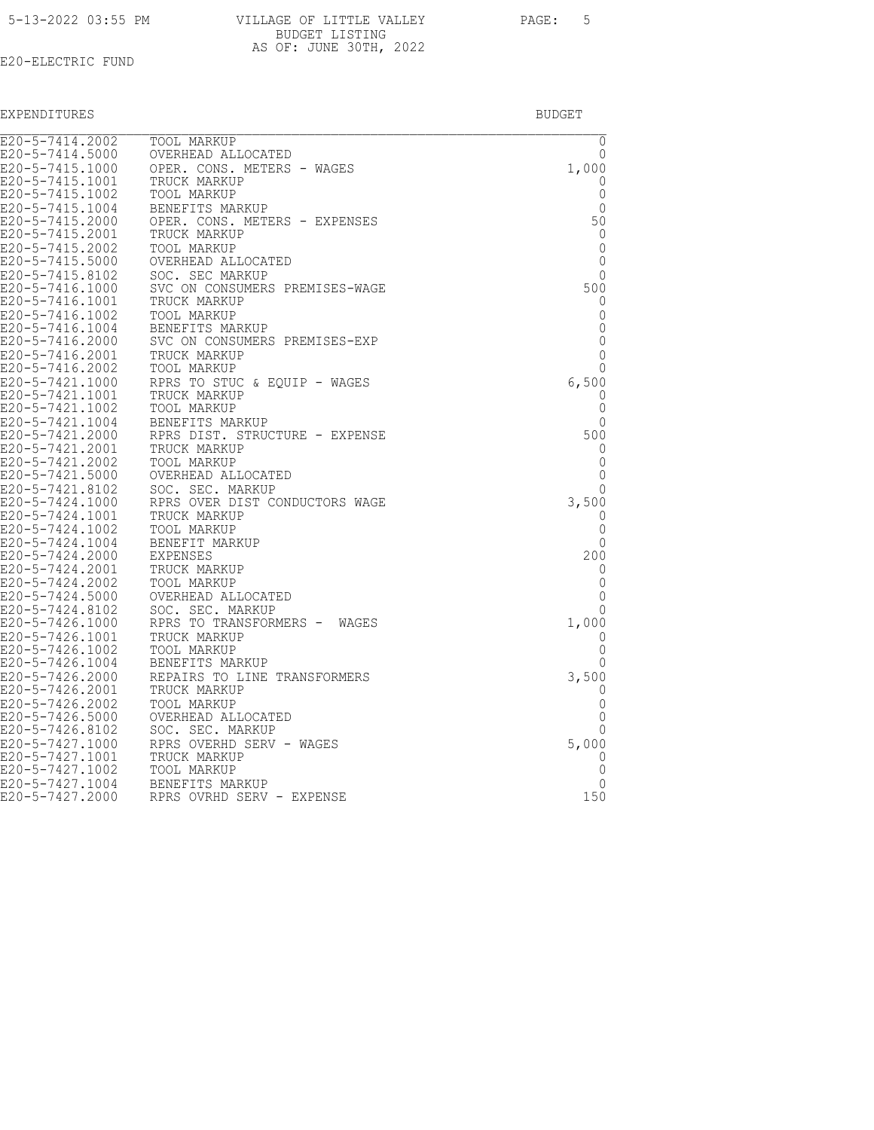| 5-13-2022 03:55 PM |  |
|--------------------|--|
|                    |  |

| E20-5-7414.2002                    | <b>TOOL MARKUP</b>                             | $\mathbf 0$ |
|------------------------------------|------------------------------------------------|-------------|
| E20-5-7414.5000                    | OVERHEAD ALLOCATED                             | 0           |
| E20-5-7415.1000                    | OPER. CONS. METERS - WAGES                     | 1,000       |
| E20-5-7415.1001                    | TRUCK MARKUP                                   | 0           |
| E20-5-7415.1002                    | TOOL MARKUP                                    | 0           |
| E20-5-7415.1004                    | BENEFITS MARKUP                                | $\Omega$    |
| E20-5-7415.2000                    | OPER. CONS. METERS - EXPENSES                  | 50          |
| E20-5-7415.2001                    | TRUCK MARKUP                                   | 0           |
| E20-5-7415.2002                    | <b>TOOL MARKUP</b>                             | 0           |
| E20-5-7415.5000                    | OVERHEAD ALLOCATED                             | 0           |
| E20-5-7415.8102                    | SOC. SEC MARKUP                                | $\Omega$    |
| E20-5-7416.1000                    | SVC ON CONSUMERS PREMISES-WAGE                 | 500         |
| E20-5-7416.1001                    | TRUCK MARKUP                                   | 0           |
| E20-5-7416.1002                    | TOOL MARKUP                                    | 0           |
| E20-5-7416.1004                    | BENEFITS MARKUP                                | 0           |
| E20-5-7416.2000                    | SVC ON CONSUMERS PREMISES-EXP                  | $\Omega$    |
| E20-5-7416.2001                    | TRUCK MARKUP                                   | 0           |
| E20-5-7416.2002                    | TOOL MARKUP                                    | 0           |
| E20-5-7421.1000                    | RPRS TO STUC & EQUIP - WAGES                   | 6,500       |
| E20-5-7421.1001                    | TRUCK MARKUP                                   | 0           |
| E20-5-7421.1002                    | TOOL MARKUP                                    | 0           |
| E20-5-7421.1004                    | BENEFITS MARKUP                                | 0           |
| E20-5-7421.2000                    | RPRS DIST. STRUCTURE - EXPENSE                 | 500         |
| E20-5-7421.2001                    | TRUCK MARKUP                                   | $\Omega$    |
| E20-5-7421.2002                    | TOOL MARKUP                                    | 0<br>0      |
| E20-5-7421.5000                    | OVERHEAD ALLOCATED                             |             |
| E20-5-7421.8102                    | SOC. SEC. MARKUP                               | $\Omega$    |
| E20-5-7424.1000                    | RPRS OVER DIST CONDUCTORS WAGE<br>TRUCK MARKUP | 3,500       |
| E20-5-7424.1001                    |                                                | 0<br>0      |
| E20-5-7424.1002<br>E20-5-7424.1004 | TOOL MARKUP<br>BENEFIT MARKUP                  | $\Omega$    |
| E20-5-7424.2000                    | EXPENSES                                       | 200         |
| E20-5-7424.2001                    | TRUCK MARKUP                                   | $\Omega$    |
| E20-5-7424.2002                    | TOOL MARKUP                                    | 0           |
| E20-5-7424.5000                    |                                                | $\Omega$    |
| E20-5-7424.8102                    | OVERHEAD ALLOCATED<br>SOC. SEC. MARKUP         | 0           |
| E20-5-7426.1000                    | RPRS TO TRANSFORMERS - WAGES                   | 1,000       |
| E20-5-7426.1001                    | TRUCK MARKUP                                   | $\Omega$    |
| E20-5-7426.1002                    | TOOL MARKUP                                    | 0           |
| E20-5-7426.1004                    | BENEFITS MARKUP                                | $\Omega$    |
| E20-5-7426.2000                    | REPAIRS TO LINE TRANSFORMERS                   | 3,500       |
| E20-5-7426.2001                    | TRUCK MARKUP                                   | 0           |
| E20-5-7426.2002                    | TOOL MARKUP                                    | 0           |
| E20-5-7426.5000                    | OVERHEAD ALLOCATED                             | 0           |
| E20-5-7426.8102                    | SOC. SEC. MARKUP                               | 0           |
| E20-5-7427.1000                    | RPRS OVERHD SERV - WAGES                       | 5,000       |
| E20-5-7427.1001                    | TRUCK MARKUP                                   | $\Omega$    |
| E20-5-7427.1002                    | TOOL MARKUP                                    | 0           |
| E20-5-7427.1004                    | BENEFITS MARKUP                                | 0           |
| E20-5-7427.2000                    | RPRS OVRHD SERV - EXPENSE                      | 150         |
|                                    |                                                |             |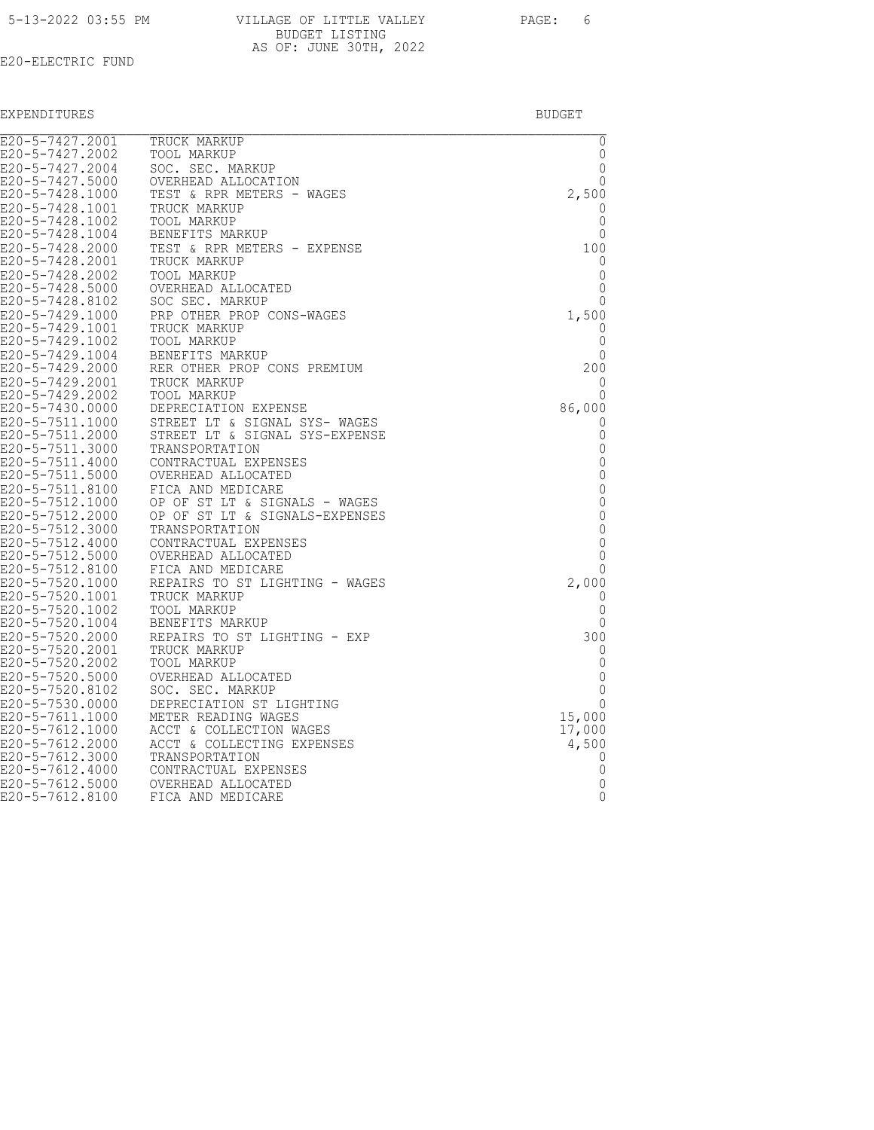|  | 5-13-2022 03:55 PM |  |
|--|--------------------|--|
|  |                    |  |

| 5-13-2022 03:55 PM | VILLAGE OF LITTLE VALLEY | PAGE: | - 6 |
|--------------------|--------------------------|-------|-----|
|                    | BUDGET LISTING           |       |     |
|                    | AS OF: JUNE 30TH, 2022   |       |     |

| $E20 - 5 - 7427.2001$              | TRUCK MARKUP                                    | 0                 |
|------------------------------------|-------------------------------------------------|-------------------|
| E20-5-7427.2002<br>E20-5-7427.2004 | TOOL MARKUP<br>SOC. SEC. MARKUP                 | 0<br>$\mathbf{0}$ |
| E20-5-7427.5000                    | OVERHEAD ALLOCATION                             | 0                 |
| E20-5-7428.1000                    | TEST & RPR METERS - WAGES                       | 2,500             |
| E20-5-7428.1001                    | TRUCK MARKUP                                    | 0                 |
| E20-5-7428.1002                    | TOOL MARKUP                                     | 0                 |
| E20-5-7428.1004                    | BENEFITS MARKUP                                 | 0                 |
| E20-5-7428.2000                    | TEST & RPR METERS - EXPENSE                     | 100               |
| E20-5-7428.2001                    | TRUCK MARKUP                                    | 0                 |
| E20-5-7428.2002                    | TOOL MARKUP                                     | 0                 |
| E20-5-7428.5000                    | OVERHEAD ALLOCATED                              | 0                 |
| E20-5-7428.8102                    | SOC SEC. MARKUP                                 | $\Omega$          |
| E20-5-7429.1000                    | PRP OTHER PROP CONS-WAGES                       | 1,500             |
| E20-5-7429.1001                    | TRUCK MARKUP                                    | 0                 |
| E20-5-7429.1002                    | TOOL MARKUP                                     | 0                 |
| E20-5-7429.1004                    | BENEFITS MARKUP                                 | 0                 |
| E20-5-7429.2000                    | RER OTHER PROP CONS PREMIUM                     | 200               |
| E20-5-7429.2001<br>E20-5-7429.2002 | TRUCK MARKUP                                    | 0                 |
| E20-5-7430.0000                    | TOOL MARKUP<br>DEPRECIATION EXPENSE             | 0<br>86,000       |
| E20-5-7511.1000                    | STREET LT & SIGNAL SYS- WAGES                   | 0                 |
| E20-5-7511.2000                    | STREET LT & SIGNAL SYS-EXPENSE                  | 0                 |
| E20-5-7511.3000                    | TRANSPORTATION                                  | 0                 |
| E20-5-7511.4000                    | CONTRACTUAL EXPENSES                            | $\mathbf 0$       |
| E20-5-7511.5000                    | OVERHEAD ALLOCATED                              | 0                 |
| E20-5-7511.8100                    | FICA AND MEDICARE                               | $\mathbb O$       |
| E20-5-7512.1000                    | OP OF ST LT & SIGNALS - WAGES                   | 0                 |
| E20-5-7512.2000                    | OP OF ST LT & SIGNALS-EXPENSES                  | 0                 |
| E20-5-7512.3000                    | TRANSPORTATION                                  | $\mathbf{0}$      |
| E20-5-7512.4000                    | CONTRACTUAL EXPENSES                            | 0                 |
| E20-5-7512.5000                    | OVERHEAD ALLOCATED                              | 0                 |
| E20-5-7512.8100                    | FICA AND MEDICARE                               | 0                 |
| E20-5-7520.1000                    | REPAIRS TO ST LIGHTING - WAGES                  | 2,000             |
| E20-5-7520.1001                    | TRUCK MARKUP                                    | 0                 |
| E20-5-7520.1002                    | TOOL MARKUP                                     | 0<br>0            |
| E20-5-7520.1004<br>E20-5-7520.2000 | BENEFITS MARKUP<br>REPAIRS TO ST LIGHTING - EXP | 300               |
| E20-5-7520.2001                    | TRUCK MARKUP                                    | 0                 |
| E20-5-7520.2002                    | TOOL MARKUP                                     | 0                 |
| E20-5-7520.5000                    | OVERHEAD ALLOCATED                              | $\mathbf{0}$      |
| E20-5-7520.8102                    | SOC. SEC. MARKUP                                | 0                 |
| E20-5-7530.0000                    | DEPRECIATION ST LIGHTING                        | $\Omega$          |
| E20-5-7611.1000                    | METER READING WAGES                             | 15,000            |
| E20-5-7612.1000                    | ACCT & COLLECTION WAGES                         | 17,000            |
| E20-5-7612.2000                    | ACCT & COLLECTING EXPENSES                      | 4,500             |
| E20-5-7612.3000                    | TRANSPORTATION                                  | 0                 |
| E20-5-7612.4000                    | CONTRACTUAL EXPENSES                            | 0                 |
| E20-5-7612.5000                    | OVERHEAD ALLOCATED                              | 0                 |
| E20-5-7612.8100                    | FICA AND MEDICARE                               | 0                 |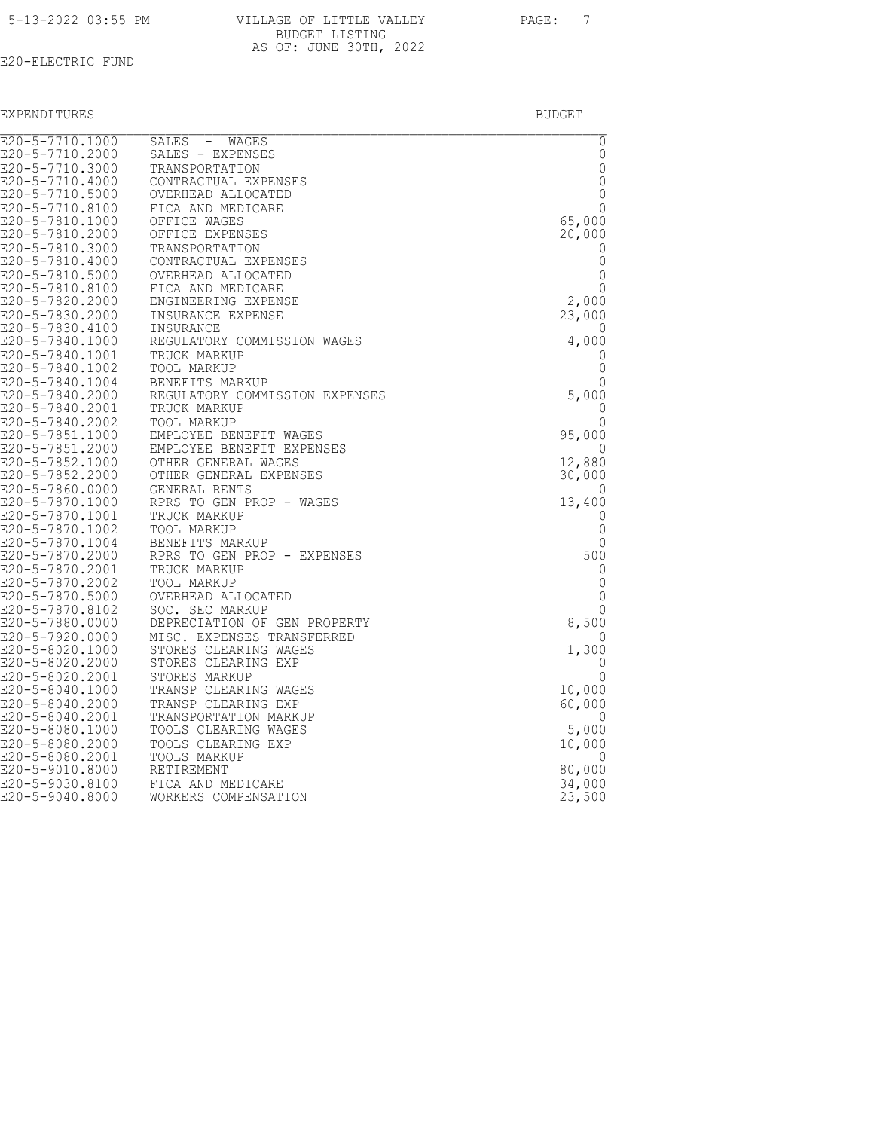|  | 5-13-2022 03:55 PM |  |  |
|--|--------------------|--|--|
|  |                    |  |  |

| 5-13-2022 03:55 PM | VILLAGE OF LITTLE VALLEY | PAGE: |  |
|--------------------|--------------------------|-------|--|
|                    | BUDGET LISTING           |       |  |
|                    | AS OF: JUNE 30TH, 2022   |       |  |

| E20-5-7710.1000                    | SALES - WAGES                         | $\overline{0}$             |
|------------------------------------|---------------------------------------|----------------------------|
| E20-5-7710.2000                    | SALES - EXPENSES                      | $\mathbb O$                |
| E20-5-7710.3000                    | TRANSPORTATION                        | $\mathbb O$                |
| E20-5-7710.4000<br>E20-5-7710.5000 | CONTRACTUAL EXPENSES                  | $\mathbf 0$<br>$\mathbb O$ |
| E20-5-7710.8100                    | OVERHEAD ALLOCATED                    | $\mathbf{0}$               |
| E20-5-7810.1000                    | FICA AND MEDICARE<br>OFFICE WAGES     | 65,000                     |
| E20-5-7810.2000                    | OFFICE EXPENSES                       | 20,000                     |
| E20-5-7810.3000                    | TRANSPORTATION                        | 0                          |
| E20-5-7810.4000                    | CONTRACTUAL EXPENSES                  | 0                          |
| E20-5-7810.5000                    | OVERHEAD ALLOCATED                    | $\mathbf 0$                |
| E20-5-7810.8100                    | FICA AND MEDICARE                     | 0                          |
| E20-5-7820.2000                    | ENGINEERING EXPENSE                   | 2,000                      |
| E20-5-7830.2000                    | INSURANCE EXPENSE                     | 23,000                     |
| E20-5-7830.4100                    | INSURANCE                             | 0                          |
| E20-5-7840.1000                    | REGULATORY COMMISSION WAGES           | 4,000                      |
| E20-5-7840.1001                    | TRUCK MARKUP                          | 0                          |
| E20-5-7840.1002                    | TOOL MARKUP                           | 0                          |
| E20-5-7840.1004                    | BENEFITS MARKUP                       | $\mathbf 0$                |
| E20-5-7840.2000                    | REGULATORY COMMISSION EXPENSES        | 5,000                      |
| E20-5-7840.2001                    | TRUCK MARKUP                          | 0                          |
| E20-5-7840.2002                    | TOOL MARKUP                           | 0                          |
| E20-5-7851.1000                    | EMPLOYEE BENEFIT WAGES                | 95,000                     |
| E20-5-7851.2000                    | EMPLOYEE BENEFIT EXPENSES             | 0                          |
| E20-5-7852.1000                    | OTHER GENERAL WAGES                   | 12,880                     |
| E20-5-7852.2000                    | OTHER GENERAL EXPENSES                | 30,000                     |
| E20-5-7860.0000                    | GENERAL RENTS                         | 0                          |
| E20-5-7870.1000                    | RPRS TO GEN PROP - WAGES              | 13,400                     |
| E20-5-7870.1001                    | TRUCK MARKUP                          | 0                          |
| E20-5-7870.1002                    | <b>TOOL MARKUP</b>                    | 0                          |
| E20-5-7870.1004                    | BENEFITS MARKUP                       | 0                          |
| E20-5-7870.2000                    | RPRS TO GEN PROP - EXPENSES           | 500                        |
| E20-5-7870.2001<br>E20-5-7870.2002 | TRUCK MARKUP                          | 0<br>$\mathbb O$           |
|                                    | TOOL MARKUP                           |                            |
| E20-5-7870.5000<br>E20-5-7870.8102 | OVERHEAD ALLOCATED<br>SOC. SEC MARKUP | $\mathbb O$<br>0           |
| E20-5-7880.0000                    | DEPRECIATION OF GEN PROPERTY          | 8,500                      |
| E20-5-7920.0000                    | MISC. EXPENSES TRANSFERRED            | 0                          |
| E20-5-8020.1000                    | STORES CLEARING WAGES                 | 1,300                      |
| E20-5-8020.2000                    | STORES CLEARING EXP                   | $\overline{0}$             |
| E20-5-8020.2001                    | STORES MARKUP                         | 0                          |
| E20-5-8040.1000                    | TRANSP CLEARING WAGES                 | 10,000                     |
| E20-5-8040.2000                    | TRANSP CLEARING EXP                   | 60,000                     |
| E20-5-8040.2001                    | TRANSPORTATION MARKUP                 | O                          |
| E20-5-8080.1000                    | TOOLS CLEARING WAGES                  | 5,000                      |
| E20-5-8080.2000                    | TOOLS CLEARING EXP                    | 10,000                     |
| E20-5-8080.2001                    | TOOLS MARKUP                          | O                          |
| E20-5-9010.8000                    | RETIREMENT                            | 80,000                     |
| E20-5-9030.8100                    | FICA AND MEDICARE                     | 34,000                     |
| E20-5-9040.8000                    | WORKERS COMPENSATION                  | 23,500                     |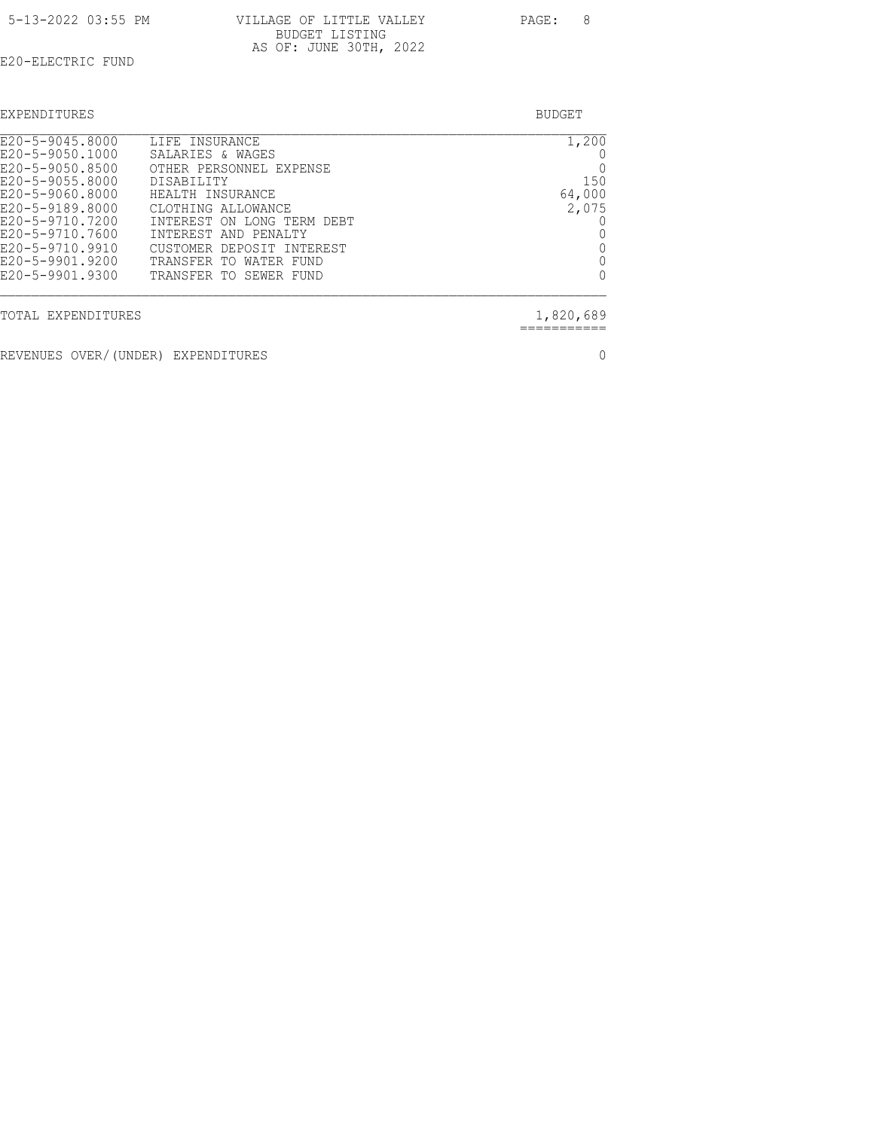| 5-13-2022 03:55 PM | VILLAGE OF LITTLE VALLEY | PAGE: |  |
|--------------------|--------------------------|-------|--|
|                    | BUDGET LISTING           |       |  |
|                    | AS OF: JUNE 30TH, 2022   |       |  |

| EXPENDITURES                       |                                    | BUDGET |
|------------------------------------|------------------------------------|--------|
| E20-5-9045.8000<br>E20-5-9050.1000 | LIFE INSURANCE<br>SALARIES & WAGES | L.2    |

| TOTAL EXPENDITURES |                            | 1,820,689    |
|--------------------|----------------------------|--------------|
| E20-5-9901.9300    | TRANSFER TO SEWER FUND     | $\Omega$     |
| E20-5-9901.9200    | TRANSFER TO WATER FUND     | 0            |
| E20-5-9710.9910    | CUSTOMER DEPOSIT INTEREST  | 0            |
| E20-5-9710.7600    | INTEREST AND PENALTY       | 0            |
| E20-5-9710.7200    | INTEREST ON LONG TERM DEBT | 0            |
| E20-5-9189.8000    | CLOTHING ALLOWANCE         | 2,075        |
| E20-5-9060.8000    | HEALTH INSURANCE           | 64,000       |
| E20-5-9055.8000    | DISABILITY                 | 150          |
| E20-5-9050.8500    | OTHER PERSONNEL EXPENSE    | $\mathbf{0}$ |
| E20-5-9050.1000    | SALARIES & WAGES           |              |
| E20-5-9045.8000    | LIFE INSURANCE             | 1,200        |

REVENUES OVER/(UNDER) EXPENDITURES 0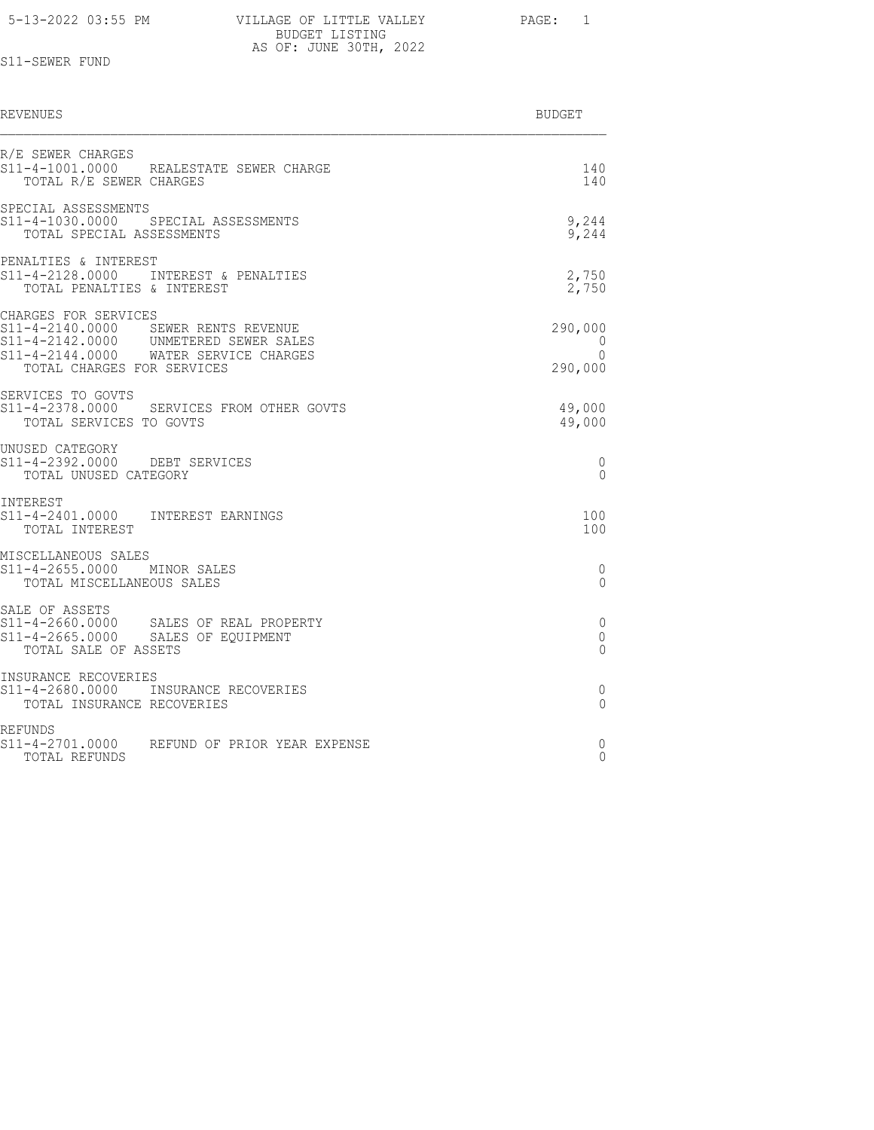| 5-13-2022 03:55 PM |                          |       |  |
|--------------------|--------------------------|-------|--|
|                    | VILLAGE OF LITTLE VALLEY | PAGE: |  |
|                    | BUDGET LISTING           |       |  |
|                    | AS OF: JUNE 30TH, 2022   |       |  |

# S11-SEWER FUND

| REVENUES                                                                                                                                                                    | BUDGET                                     |
|-----------------------------------------------------------------------------------------------------------------------------------------------------------------------------|--------------------------------------------|
| R/E SEWER CHARGES<br>S11-4-1001.0000 REALESTATE SEWER CHARGE<br>TOTAL R/E SEWER CHARGES                                                                                     | 140<br>140                                 |
| SPECIAL ASSESSMENTS<br>S11-4-1030.0000 SPECIAL ASSESSMENTS<br>TOTAL SPECIAL ASSESSMENTS                                                                                     | 9,244<br>9,244                             |
| PENALTIES & INTEREST<br>S11-4-2128.0000 INTEREST & PENALTIES<br>TOTAL PENALTIES & INTEREST                                                                                  | 2,750<br>2,750                             |
| CHARGES FOR SERVICES<br>S11-4-2140.0000 SEWER RENTS REVENUE<br>S11-4-2142.0000 UNMETERED SEWER SALES<br>S11-4-2144.0000 WATER SERVICE CHARGES<br>TOTAL CHARGES FOR SERVICES | 290,000<br>$\Omega$<br>$\Omega$<br>290,000 |
| SERVICES TO GOVTS<br>S11-4-2378.0000 SERVICES FROM OTHER GOVTS<br>TOTAL SERVICES TO GOVTS                                                                                   | 49,000<br>49,000                           |
| UNUSED CATEGORY<br>S11-4-2392.0000 DEBT SERVICES<br>TOTAL UNUSED CATEGORY                                                                                                   | 0<br>$\Omega$                              |
| INTEREST<br>S11-4-2401.0000 INTEREST EARNINGS<br>TOTAL INTEREST                                                                                                             | 100<br>100                                 |
| MISCELLANEOUS SALES<br>S11-4-2655.0000 MINOR SALES<br>TOTAL MISCELLANEOUS SALES                                                                                             | 0<br>$\Omega$                              |
| SALE OF ASSETS<br>S11-4-2660.0000 SALES OF REAL PROPERTY<br>S11-4-2665.0000 SALES OF EQUIPMENT<br>TOTAL SALE OF ASSETS                                                      | 0<br>0<br>0                                |
| INSURANCE RECOVERIES<br>S11-4-2680.0000 INSURANCE RECOVERIES<br>TOTAL INSURANCE RECOVERIES                                                                                  | $\mathbf{0}$<br>$\Omega$                   |
| <b>REFUNDS</b><br>s11-4-2701.0000<br>REFUND OF PRIOR YEAR EXPENSE<br>TOTAL REFUNDS                                                                                          | 0<br>$\Omega$                              |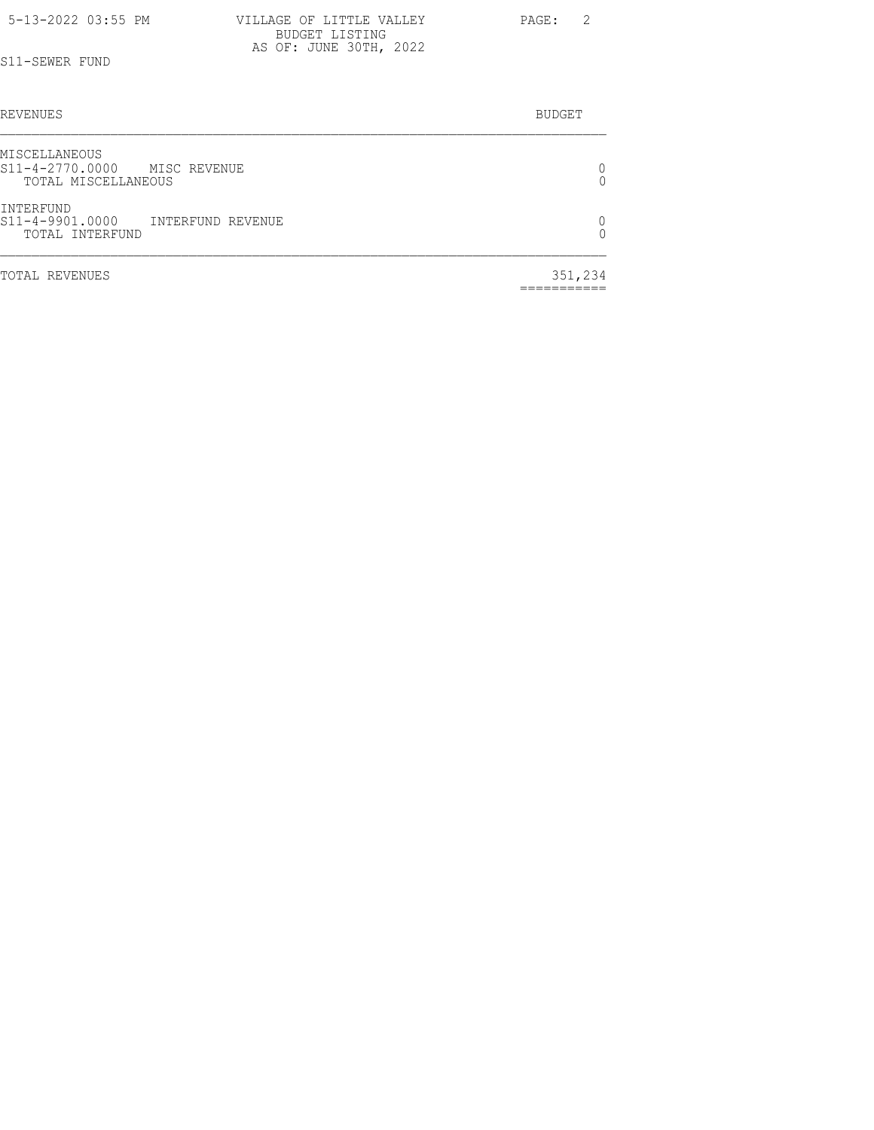| 5-13-2022 03:55 PM | VILLAGE OF LITTLE VALLEY                 | $\overline{2}$<br>PAGE: |
|--------------------|------------------------------------------|-------------------------|
|                    | BUDGET LISTING<br>AS OF: JUNE 30TH, 2022 |                         |
| S11-SEWER FUND     |                                          |                         |

| <b>REVENUES</b>                                                         | <b>BUDGET</b> |
|-------------------------------------------------------------------------|---------------|
| MISCELLANEOUS<br>S11-4-2770.0000<br>MISC REVENUE<br>TOTAL MISCELLANEOUS | 0<br>0        |
| INTERFUND<br>S11-4-9901.0000<br>INTERFUND REVENUE<br>TOTAL INTERFUND    | 0<br>Λ        |
| TOTAL REVENUES                                                          | 351,234       |

===========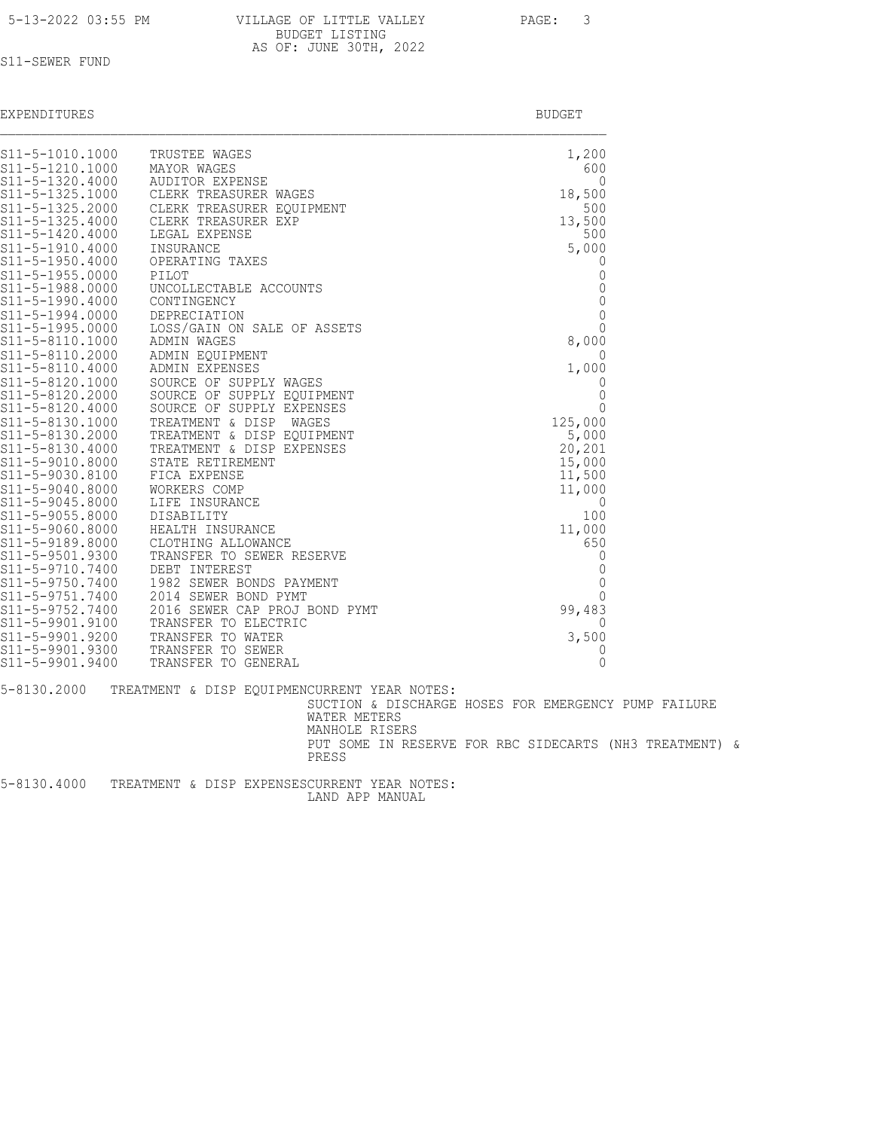| 5-13-2022 03:55 PM |
|--------------------|
|--------------------|

| 5-13-2022 03:55 PM | VILLAGE OF LITTLE VALLEY | PAGE: | $\overline{\mathbf{3}}$ |
|--------------------|--------------------------|-------|-------------------------|
|                    | BUDGET LISTING           |       |                         |
|                    | AS OF: JUNE 30TH, 2022   |       |                         |

# S11-SEWER FUND

| EXPENDITURES                       |                                                         | <b>BUDGET</b>   |
|------------------------------------|---------------------------------------------------------|-----------------|
| S11-5-1010.1000                    | TRUSTEE WAGES                                           | 1,200           |
| S11-5-1210.1000                    | MAYOR WAGES                                             | 600             |
| S11-5-1320.4000                    | <b>AUDITOR EXPENSE</b>                                  | $\Omega$        |
| S11-5-1325.1000                    | CLERK TREASURER WAGES                                   | 18,500          |
| S11-5-1325.2000                    | CLERK TREASURER EOUIPMENT                               | 500             |
| S11-5-1325.4000<br>S11-5-1420.4000 | CLERK TREASURER EXP<br>LEGAL EXPENSE                    | 13,500<br>500   |
| S11-5-1910.4000                    | INSURANCE                                               | 5,000           |
| S11-5-1950.4000                    | OPERATING TAXES                                         | 0               |
| S11-5-1955.0000                    | PILOT                                                   | $\mathbf 0$     |
| S11-5-1988.0000                    | UNCOLLECTABLE ACCOUNTS                                  | $\mathbb O$     |
| S11-5-1990.4000                    | CONTINGENCY                                             | $\mathbb O$     |
| S11-5-1994.0000                    | DEPRECIATION                                            | $\mathbf 0$     |
| S11-5-1995.0000                    | LOSS/GAIN ON SALE OF ASSETS                             | $\mathbf{0}$    |
| S11-5-8110.1000                    | ADMIN WAGES                                             | 8,000           |
| S11-5-8110.2000                    | ADMIN EOUIPMENT                                         | $\overline{0}$  |
| S11-5-8110.4000                    | ADMIN EXPENSES                                          | 1,000           |
| S11-5-8120.1000                    | SOURCE OF SUPPLY WAGES                                  | $\circ$         |
| S11-5-8120.2000                    | SOURCE OF SUPPLY EQUIPMENT                              | $\circ$         |
| S11-5-8120.4000                    | SOURCE OF SUPPLY EXPENSES                               | $\mathbf{0}$    |
| S11-5-8130.1000<br>S11-5-8130.2000 | TREATMENT & DISP<br>WAGES<br>TREATMENT & DISP EQUIPMENT | 125,000         |
| S11-5-8130.4000                    | TREATMENT & DISP EXPENSES                               | 5,000<br>20,201 |
| S11-5-9010.8000                    | STATE RETIREMENT                                        | 15,000          |
| S11-5-9030.8100                    | FICA EXPENSE                                            | 11,500          |
| S11-5-9040.8000                    | WORKERS COMP                                            | 11,000          |
| S11-5-9045.8000                    | LIFE INSURANCE                                          | 0               |
| S11-5-9055.8000                    | DISABILITY                                              | 100             |
| S11-5-9060.8000                    | HEALTH INSURANCE                                        | 11,000          |
| S11-5-9189.8000                    | CLOTHING ALLOWANCE                                      | 650             |
| S11-5-9501.9300                    | TRANSFER TO SEWER RESERVE                               | 0               |
| S11-5-9710.7400                    | DEBT INTEREST                                           | $\mathbb O$     |
| S11-5-9750.7400                    | 1982 SEWER BONDS PAYMENT                                | $\mathbb O$     |
| S11-5-9751.7400                    | 2014 SEWER BOND PYMT                                    | 0               |
| S11-5-9752.7400                    | 2016 SEWER CAP PROJ BOND PYMT                           | 99,483          |
| S11-5-9901.9100                    | TRANSFER TO ELECTRIC                                    | $\mathbf{0}$    |

S11-5-9901.9200 TRANSFER TO WATER 3,500 S11-5-9901.9300 TRANSFER TO SEWER **DEALLY ASSESSED ASSAULT** 20

S11-5-9901.9400 TRANSFER TO GENERAL 2000 POST CONSTRUCTED AND TRANSFER TO GENERAL 5-8130.2000 TREATMENT & DISP EQUIPMENCURRENT YEAR NOTES: SUCTION & DISCHARGE HOSES FOR EMERGENCY PUMP FAILURE WATER METERS MANHOLE RISERS PUT SOME IN RESERVE FOR RBC SIDECARTS (NH3 TREATMENT) & PRESS

5-8130.4000 TREATMENT & DISP EXPENSESCURRENT YEAR NOTES: LAND APP MANUAL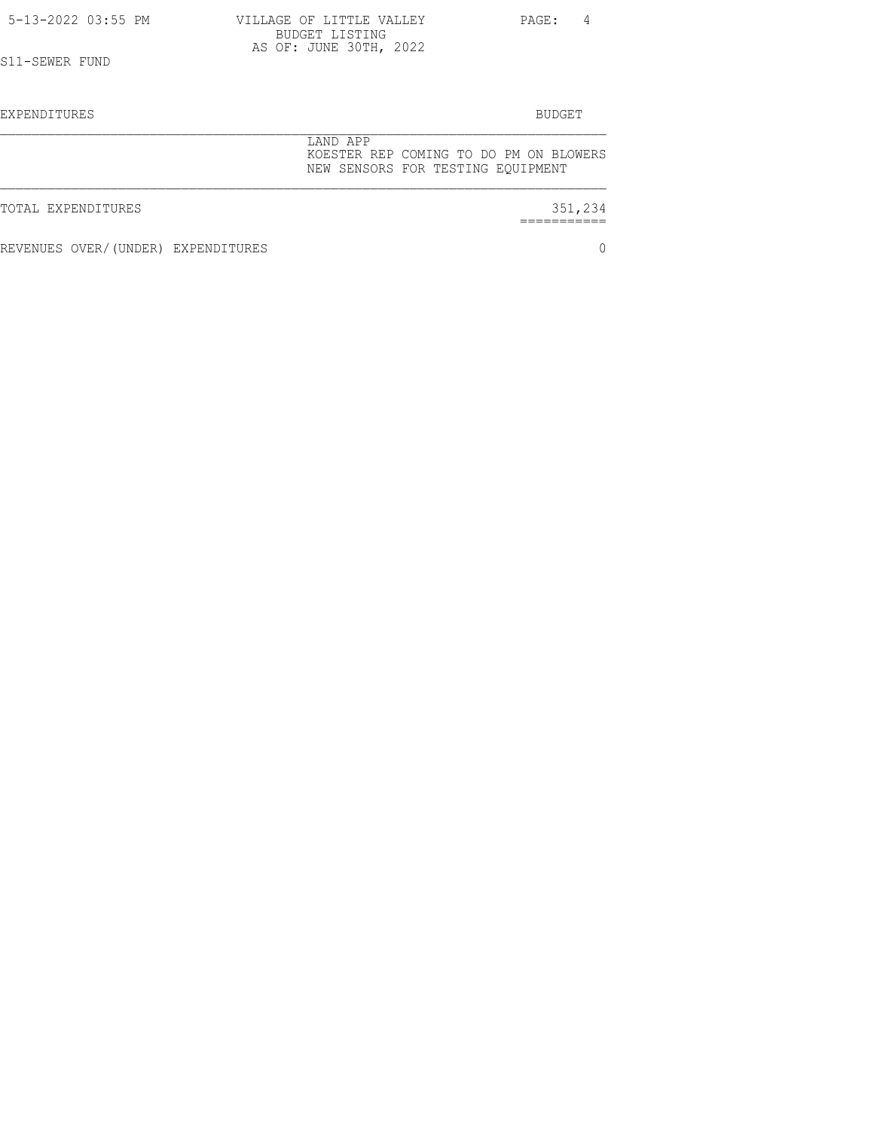| 5-13-2022 03:55 PM | VILLAGE OF LITTLE VALLEY<br>BUDGET LISTING                                              | PAGE:<br>4    |
|--------------------|-----------------------------------------------------------------------------------------|---------------|
| S11-SEWER FUND     | AS OF: JUNE 30TH, 2022                                                                  |               |
| EXPENDITURES       |                                                                                         | <b>BUDGET</b> |
|                    | LAND APP<br>KOESTER REP COMING TO DO PM ON BLOWERS<br>NEW SENSORS FOR TESTING EQUIPMENT |               |
| TOTAL EXPENDITURES |                                                                                         | 351,234       |

REVENUES OVER/(UNDER) EXPENDITURES 0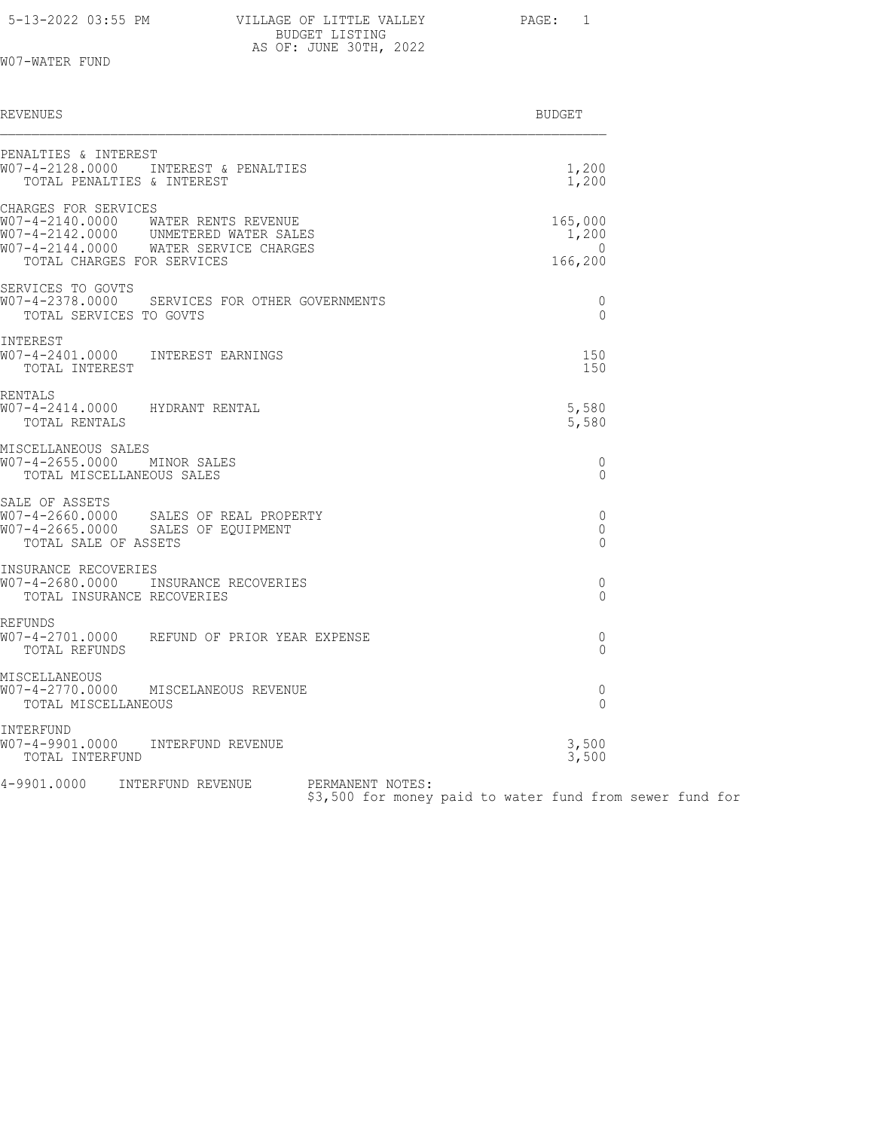| 5-13-2022 03:55 PM | VILLAGE OF LITTLE VALLEY | PAGE: |
|--------------------|--------------------------|-------|
|                    | BUDGET LISTING           |       |
|                    | AS OF: JUNE 30TH, 2022   |       |

W07-WATER FUND

| REVENUES                                                                                                                                                                    | <b>BUDGET</b>                           |
|-----------------------------------------------------------------------------------------------------------------------------------------------------------------------------|-----------------------------------------|
| PENALTIES & INTEREST<br>W07-4-2128.0000 INTEREST & PENALTIES<br>TOTAL PENALTIES & INTEREST                                                                                  | 1,200<br>1,200                          |
| CHARGES FOR SERVICES<br>W07-4-2140.0000 WATER RENTS REVENUE<br>W07-4-2142.0000 UNMETERED WATER SALES<br>W07-4-2144.0000 WATER SERVICE CHARGES<br>TOTAL CHARGES FOR SERVICES | 165,000<br>1,200<br>$\Omega$<br>166,200 |
| SERVICES TO GOVTS<br>W07-4-2378.0000     SERVICES FOR OTHER GOVERNMENTS<br>TOTAL SERVICES TO GOVTS                                                                          | 0<br>$\Omega$                           |
| INTEREST<br>W07-4-2401.0000 INTEREST EARNINGS<br>TOTAL INTEREST                                                                                                             | 150<br>150                              |
| RENTALS<br>W07-4-2414.0000 HYDRANT RENTAL<br>TOTAL RENTALS                                                                                                                  | 5,580<br>5,580                          |
| MISCELLANEOUS SALES<br>W07-4-2655.0000 MINOR SALES<br>TOTAL MISCELLANEOUS SALES                                                                                             | 0<br>$\Omega$                           |
| SALE OF ASSETS<br>TOTAL SALE OF ASSETS                                                                                                                                      | 0<br>$\Omega$<br>$\Omega$               |
| INSURANCE RECOVERIES<br>W07-4-2680.0000 INSURANCE RECOVERIES<br>TOTAL INSURANCE RECOVERIES                                                                                  | 0<br>$\Omega$                           |
| REFUNDS<br>W07-4-2701.0000    REFUND OF PRIOR YEAR EXPENSE<br>TOTAL REFUNDS                                                                                                 | 0<br>$\Omega$                           |
| MISCELLANEOUS<br>W07-4-2770.0000 MISCELANEOUS REVENUE<br>TOTAL MISCELLANEOUS                                                                                                | 0<br>$\mathbf 0$                        |
| INTERFUND<br>W07-4-9901.0000 INTERFUND REVENUE<br>TOTAL INTERFUND                                                                                                           | 3,500<br>3,500                          |
| 4-9901.0000 INTERFUND REVENUE PERMANENT NOTES:                                                                                                                              |                                         |

PERMANENT NOTES:<br>\$3,500 for money paid to water fund from sewer fund for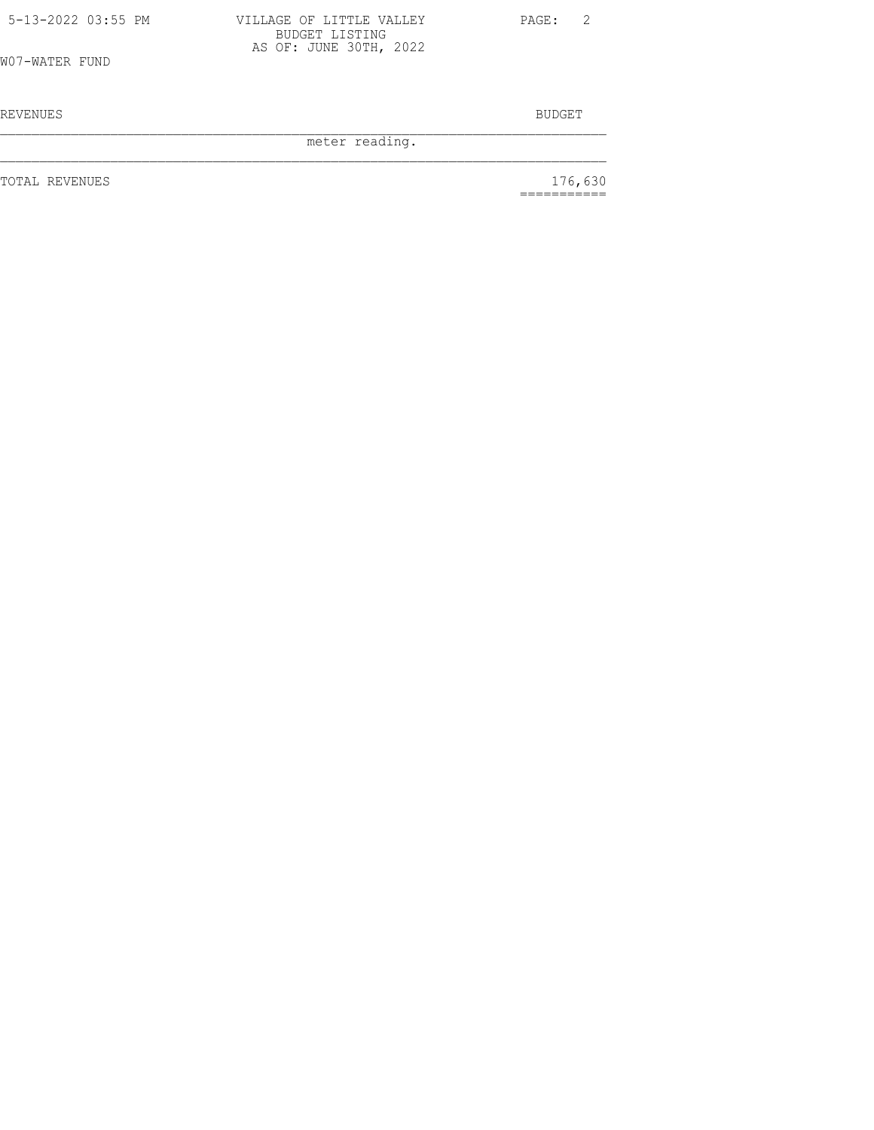| 5-13-2022 03:55 PM | VILLAGE OF LITTLE VALLEY                 | PAGE: 2 |  |
|--------------------|------------------------------------------|---------|--|
|                    | BUDGET LISTING<br>AS OF: JUNE 30TH, 2022 |         |  |
| W07-WATER FUND     |                                          |         |  |

REVENUES BUDGET

meter reading.

TOTAL REVENUES

 $176,630$ <br>============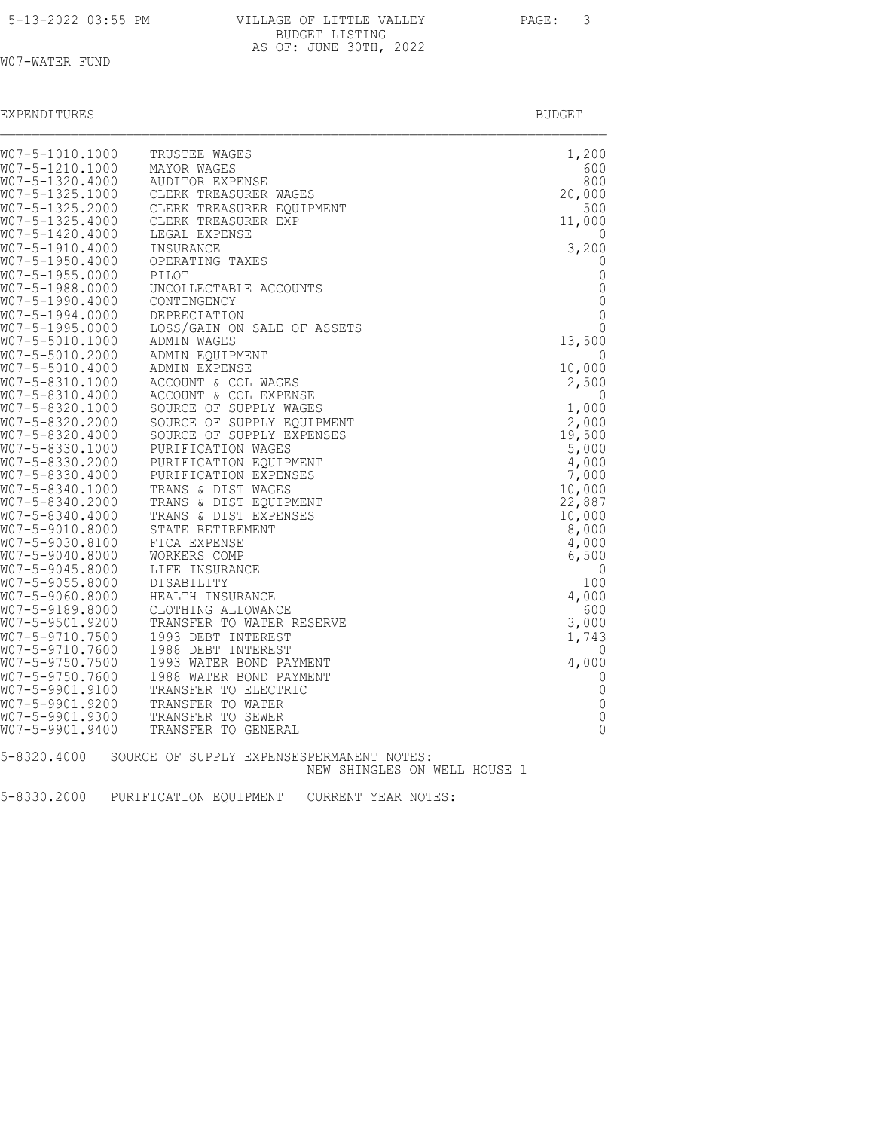| 5-13-2022 03:55 PM |  |  |
|--------------------|--|--|
|                    |  |  |

| 5-13-2022 03:55 PM | VILLAGE OF LITTLE VALLEY | PAGE: |
|--------------------|--------------------------|-------|
|                    | BUDGET LISTING           |       |
|                    | AS OF: JUNE 30TH, 2022   |       |

# W07-WATER FUND

| EXPENDITURES | ______<br>RUDGE.<br>_____ |
|--------------|---------------------------|
|--------------|---------------------------|

| W07-5-1010.1000                    | TRUSTEE WAGES                                    | 1,200                       |
|------------------------------------|--------------------------------------------------|-----------------------------|
| W07-5-1210.1000                    | MAYOR WAGES                                      | 600                         |
| W07-5-1320.4000                    | <b>AUDITOR EXPENSE</b>                           | 800                         |
| W07-5-1325.1000<br>W07-5-1325.2000 | CLERK TREASURER WAGES                            | 20,000<br>500               |
| W07-5-1325.4000                    | CLERK TREASURER EOUIPMENT<br>CLERK TREASURER EXP | 11,000                      |
| W07-5-1420.4000                    | LEGAL EXPENSE                                    | 0                           |
| W07-5-1910.4000                    | INSURANCE                                        | 3,200                       |
| W07-5-1950.4000<br>W07-5-1955.0000 | OPERATING TAXES<br>PILOT                         | 0<br>$\mathbf 0$            |
| W07-5-1988.0000                    | UNCOLLECTABLE ACCOUNTS                           | $\mathbb O$                 |
| W07-5-1990.4000                    | CONTINGENCY                                      | $\mathbb O$                 |
| W07-5-1994.0000<br>W07-5-1995.0000 | DEPRECIATION<br>LOSS/GAIN ON SALE OF ASSETS      | $\mathbf 0$<br>$\mathbf{0}$ |
| W07-5-5010.1000                    | ADMIN WAGES                                      | 13,500                      |
| W07-5-5010.2000                    | ADMIN EOUIPMENT                                  | $\Omega$                    |
| W07-5-5010.4000                    | ADMIN EXPENSE                                    | 10,000                      |
| W07-5-8310.1000<br>W07-5-8310.4000 | ACCOUNT & COL WAGES<br>ACCOUNT & COL EXPENSE     | 2,500<br>0                  |
| W07-5-8320.1000                    | SOURCE OF SUPPLY WAGES                           | 1,000                       |
| W07-5-8320.2000                    | SOURCE OF SUPPLY EQUIPMENT                       | 2,000                       |
| W07-5-8320.4000<br>W07-5-8330.1000 | SOURCE OF SUPPLY EXPENSES<br>PURIFICATION WAGES  | 19,500<br>5,000             |
| W07-5-8330.2000                    | PURIFICATION EOUIPMENT                           | 4,000                       |
| W07-5-8330.4000                    | PURIFICATION EXPENSES                            | 7,000                       |
| W07-5-8340.1000<br>W07-5-8340.2000 | TRANS & DIST WAGES<br>TRANS & DIST EQUIPMENT     | 10,000<br>22,887            |
| W07-5-8340.4000                    | TRANS & DIST EXPENSES                            | 10,000                      |
| W07-5-9010.8000                    | STATE RETIREMENT                                 | 8,000                       |
| W07-5-9030.8100                    | FICA EXPENSE                                     | 4,000                       |
| W07-5-9040.8000<br>W07-5-9045.8000 | WORKERS COMP<br>LIFE INSURANCE                   | 6,500<br>0                  |
| W07-5-9055.8000                    | DISABILITY                                       | 100                         |
| W07-5-9060.8000                    | HEALTH INSURANCE                                 | 4,000                       |
| W07-5-9189.8000<br>W07-5-9501.9200 | CLOTHING ALLOWANCE<br>TRANSFER TO WATER RESERVE  | 600<br>3,000                |
| W07-5-9710.7500                    | 1993 DEBT INTEREST                               | 1,743                       |
| W07-5-9710.7600                    | 1988 DEBT INTEREST                               | 0                           |
| W07-5-9750.7500<br>W07-5-9750.7600 | 1993 WATER BOND PAYMENT                          | 4,000<br>$\mathbf 0$        |
| W07-5-9901.9100                    | 1988 WATER BOND PAYMENT<br>TRANSFER TO ELECTRIC  | $\mathbb O$                 |
| W07-5-9901.9200                    | TRANSFER TO WATER                                | $\mathbb O$                 |
| W07-5-9901.9300                    | TRANSFER TO SEWER                                | $\mathbb O$<br>$\Omega$     |
| W07-5-9901.9400                    | TRANSFER TO GENERAL                              |                             |
| 5-8320.4000                        | SOURCE OF SUPPLY EXPENSESPERMANENT NOTES:        |                             |
|                                    | NEW SHINGLES ON WELL HOUSE 1                     |                             |

5-8330.2000 PURIFICATION EQUIPMENT CURRENT YEAR NOTES: